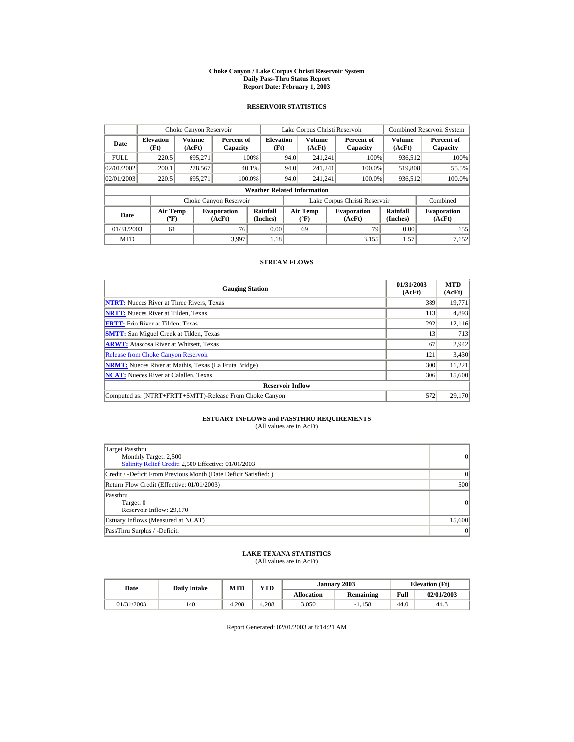#### **Choke Canyon / Lake Corpus Christi Reservoir System Daily Pass-Thru Status Report Report Date: February 1, 2003**

### **RESERVOIR STATISTICS**

|             | Choke Canyon Reservoir                      |                  |                              |                          |      | Lake Corpus Christi Reservoir               |  |                               |                      | <b>Combined Reservoir System</b> |  |  |
|-------------|---------------------------------------------|------------------|------------------------------|--------------------------|------|---------------------------------------------|--|-------------------------------|----------------------|----------------------------------|--|--|
| Date        | <b>Elevation</b><br>(Ft)                    | Volume<br>(AcFt) | Percent of<br>Capacity       | <b>Elevation</b><br>(Ft) |      | Volume<br>(AcFt)                            |  | Percent of<br>Capacity        | Volume<br>(AcFt)     | Percent of<br>Capacity           |  |  |
| <b>FULL</b> | 220.5                                       | 695.271          |                              | 100%                     | 94.0 | 241.241                                     |  | 100%                          | 936,512              | 100%                             |  |  |
| 02/01/2002  | 200.1                                       | 278,567          |                              | 40.1%                    | 94.0 | 241.241                                     |  | 100.0%                        | 519,808              | 55.5%                            |  |  |
| 02/01/2003  | 220.5                                       | 695.271          | 100.0%                       |                          | 94.0 | 241.241                                     |  | 100.0%                        | 936,512              | 100.0%                           |  |  |
|             | <b>Weather Related Information</b>          |                  |                              |                          |      |                                             |  |                               |                      |                                  |  |  |
|             |                                             |                  | Choke Canyon Reservoir       |                          |      |                                             |  | Lake Corpus Christi Reservoir |                      | Combined                         |  |  |
| Date        | <b>Air Temp</b><br>$({}^{\circ}\mathrm{F})$ |                  | <b>Evaporation</b><br>(AcFt) | Rainfall<br>(Inches)     |      | <b>Air Temp</b><br>$({}^{\circ}\mathbf{F})$ |  | <b>Evaporation</b><br>(AcFt)  | Rainfall<br>(Inches) | <b>Evaporation</b><br>(AcFt)     |  |  |
| 01/31/2003  | 61                                          |                  | 76                           | 0.00                     |      | 69                                          |  | 79                            | 0.00                 | 155                              |  |  |
| <b>MTD</b>  |                                             |                  | 3.997                        | 1.18                     |      |                                             |  | 3.155                         | 1.57                 | 7.152                            |  |  |

#### **STREAM FLOWS**

| <b>Gauging Station</b>                                       | 01/31/2003<br>(AcFt) | <b>MTD</b><br>(AcFt) |
|--------------------------------------------------------------|----------------------|----------------------|
| <b>NTRT:</b> Nueces River at Three Rivers, Texas             | 389                  | 19,771               |
| <b>NRTT:</b> Nueces River at Tilden, Texas                   | 113                  | 4,893                |
| <b>FRTT:</b> Frio River at Tilden, Texas                     | 292                  | 12,116               |
| <b>SMTT:</b> San Miguel Creek at Tilden, Texas               | 13                   | 713                  |
| <b>ARWT:</b> Atascosa River at Whitsett, Texas               | 67                   | 2,942                |
| <b>Release from Choke Canyon Reservoir</b>                   | 121                  | 3,430                |
| <b>NRMT:</b> Nueces River at Mathis, Texas (La Fruta Bridge) | 300                  | 11,221               |
| <b>NCAT:</b> Nueces River at Calallen, Texas                 | 306                  | 15,600               |
| <b>Reservoir Inflow</b>                                      |                      |                      |
| Computed as: (NTRT+FRTT+SMTT)-Release From Choke Canyon      | 572                  | 29.170               |

# **ESTUARY INFLOWS and PASSTHRU REQUIREMENTS**<br>(All values are in AcFt)

| Target Passthru<br>Monthly Target: 2,500<br>Salinity Relief Credit: 2,500 Effective: 01/01/2003 | 0              |
|-------------------------------------------------------------------------------------------------|----------------|
| Credit / -Deficit From Previous Month (Date Deficit Satisfied:)                                 | $\Omega$       |
| Return Flow Credit (Effective: 01/01/2003)                                                      | 500            |
| Passthru<br>Target: 0<br>Reservoir Inflow: 29,170                                               | $\overline{0}$ |
| Estuary Inflows (Measured at NCAT)                                                              | 15,600         |
| PassThru Surplus / -Deficit:                                                                    | 0              |

## **LAKE TEXANA STATISTICS**

(All values are in AcFt)

| Date       |  |     | $\mathbf{v}\mathbf{T}\mathbf{D}$<br><b>MTD</b><br><b>Daily Intake</b> |       |                   | January 2003 | <b>Elevation</b> (Ft) |            |
|------------|--|-----|-----------------------------------------------------------------------|-------|-------------------|--------------|-----------------------|------------|
|            |  |     |                                                                       |       | <b>Allocation</b> | Remaining    | Full                  | 02/01/2003 |
| 01/31/2003 |  | 140 | 4.208                                                                 | 4.208 | 3,050             | $-1.158$     | 44.0                  | 44.3       |

Report Generated: 02/01/2003 at 8:14:21 AM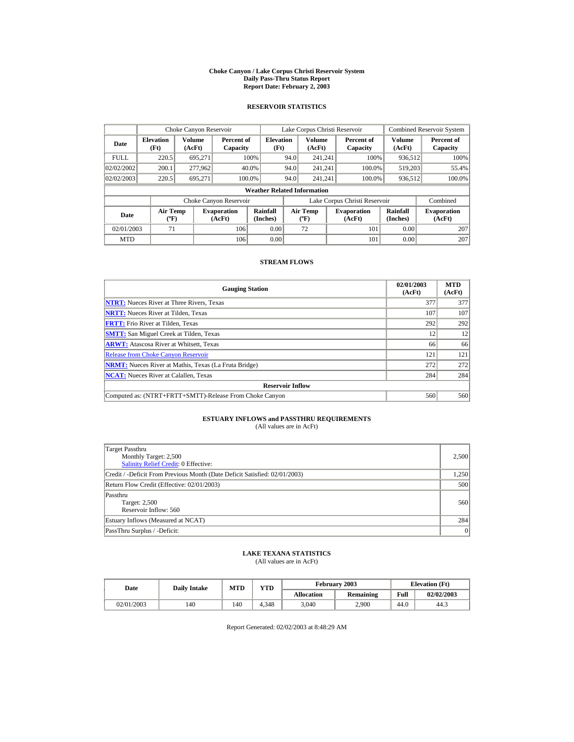#### **Choke Canyon / Lake Corpus Christi Reservoir System Daily Pass-Thru Status Report Report Date: February 2, 2003**

### **RESERVOIR STATISTICS**

|             | Choke Canyon Reservoir                |                  |                              |                                    |      | Lake Corpus Christi Reservoir            |                               |                         | <b>Combined Reservoir System</b> |
|-------------|---------------------------------------|------------------|------------------------------|------------------------------------|------|------------------------------------------|-------------------------------|-------------------------|----------------------------------|
| Date        | <b>Elevation</b><br>(Ft)              | Volume<br>(AcFt) | Percent of<br>Capacity       | <b>Elevation</b><br>(Ft)           |      | <b>Volume</b><br>(AcFt)                  | Percent of<br>Capacity        | <b>Volume</b><br>(AcFt) | Percent of<br>Capacity           |
| <b>FULL</b> | 220.5                                 | 695.271          |                              | 100%                               | 94.0 | 241.241                                  | 100%                          | 936.512                 | $100\%$                          |
| 02/02/2002  | 200.1                                 | 277.962          |                              | 40.0%                              | 94.0 | 241.241                                  | 100.0%                        | 519.203                 | 55.4%                            |
| 02/02/2003  | 220.5                                 | 695.271          |                              | 100.0%                             | 94.0 | 241.241                                  | 100.0%                        | 936,512                 | 100.0%                           |
|             |                                       |                  |                              | <b>Weather Related Information</b> |      |                                          |                               |                         |                                  |
|             |                                       |                  | Choke Canyon Reservoir       |                                    |      |                                          | Lake Corpus Christi Reservoir |                         | Combined                         |
| Date        | <b>Air Temp</b><br>$({}^o\mathrm{F})$ |                  | <b>Evaporation</b><br>(AcFt) | Rainfall<br>(Inches)               |      | <b>Air Temp</b><br>$({}^{\circ}{\rm F})$ | <b>Evaporation</b><br>(AcFt)  | Rainfall<br>(Inches)    | <b>Evaporation</b><br>(AcFt)     |
| 02/01/2003  | 71                                    |                  | 106                          | 0.00                               |      | 72                                       | 101                           | 0.00                    | 207                              |
| <b>MTD</b>  |                                       |                  | 106                          | 0.00                               |      |                                          | 101                           | 0.00                    | 207                              |

#### **STREAM FLOWS**

| <b>Gauging Station</b>                                       | 02/01/2003<br>(AcFt) | <b>MTD</b><br>(AcFt) |
|--------------------------------------------------------------|----------------------|----------------------|
| <b>NTRT:</b> Nueces River at Three Rivers, Texas             | 377                  | 377                  |
| <b>NRTT:</b> Nueces River at Tilden, Texas                   | 107                  | 107                  |
| <b>FRTT:</b> Frio River at Tilden, Texas                     | 292                  | 292                  |
| <b>SMTT:</b> San Miguel Creek at Tilden, Texas               | 12                   | 12                   |
| <b>ARWT:</b> Atascosa River at Whitsett, Texas               | 66                   | 66                   |
| <b>Release from Choke Canyon Reservoir</b>                   | 121                  | 121                  |
| <b>NRMT:</b> Nueces River at Mathis, Texas (La Fruta Bridge) | 272                  | 272                  |
| <b>NCAT:</b> Nueces River at Calallen, Texas                 | 284                  | 284                  |
| <b>Reservoir Inflow</b>                                      |                      |                      |
| Computed as: (NTRT+FRTT+SMTT)-Release From Choke Canyon      | 560                  | 560                  |

# **ESTUARY INFLOWS and PASSTHRU REQUIREMENTS**<br>(All values are in AcFt)

| Target Passthru<br>Monthly Target: 2,500<br>Salinity Relief Credit: 0 Effective: | 2,500 |
|----------------------------------------------------------------------------------|-------|
| Credit / -Deficit From Previous Month (Date Deficit Satisfied: 02/01/2003)       | 1,250 |
| Return Flow Credit (Effective: 02/01/2003)                                       | 500   |
| Passthru<br>Target: 2,500<br>Reservoir Inflow: 560                               | 560   |
| Estuary Inflows (Measured at NCAT)                                               | 284   |
| PassThru Surplus / -Deficit:                                                     | 0     |

## **LAKE TEXANA STATISTICS**

(All values are in AcFt)

| Date       |     | YTD<br><b>MTD</b><br><b>Daily Intake</b> |       |                   | February 2003 | <b>Elevation</b> (Ft) |            |
|------------|-----|------------------------------------------|-------|-------------------|---------------|-----------------------|------------|
|            |     |                                          |       | <b>Allocation</b> | Remaining     | Full                  | 02/02/2003 |
| 02/01/2003 | 140 | 140                                      | 4.348 | 3.040             | 2.900         | 44.0                  | 44.3       |

Report Generated: 02/02/2003 at 8:48:29 AM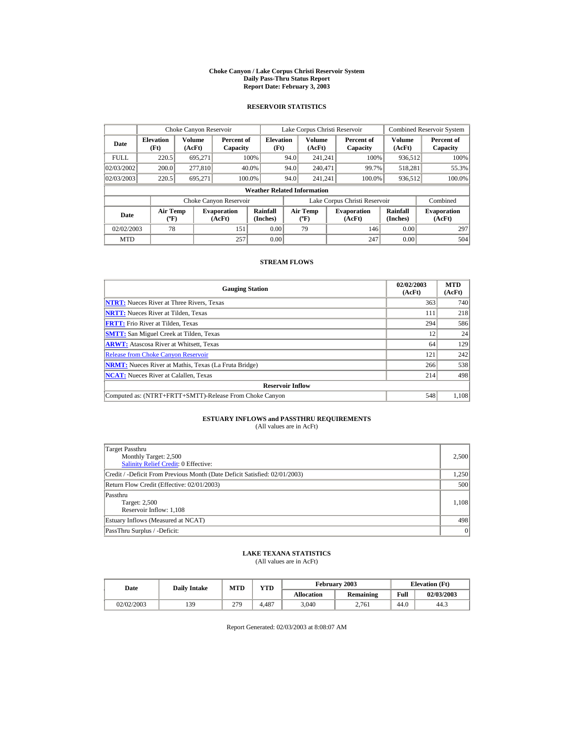#### **Choke Canyon / Lake Corpus Christi Reservoir System Daily Pass-Thru Status Report Report Date: February 3, 2003**

### **RESERVOIR STATISTICS**

|                                               | Choke Canyon Reservoir             |                  |                              |                          |      | Lake Corpus Christi Reservoir            |  |                               |                         | <b>Combined Reservoir System</b> |  |  |
|-----------------------------------------------|------------------------------------|------------------|------------------------------|--------------------------|------|------------------------------------------|--|-------------------------------|-------------------------|----------------------------------|--|--|
| Date                                          | <b>Elevation</b><br>(Ft)           | Volume<br>(AcFt) | Percent of<br>Capacity       | <b>Elevation</b><br>(Ft) |      | <b>Volume</b><br>(AcFt)                  |  | Percent of<br>Capacity        | <b>Volume</b><br>(AcFt) | Percent of<br>Capacity           |  |  |
| <b>FULL</b>                                   | 220.5                              | 695.271          |                              | 100%                     | 94.0 | 241.241                                  |  | 100%                          | 936.512                 | 100%                             |  |  |
| 02/03/2002                                    | 200.0                              | 277,810          |                              | 40.0%                    | 94.0 | 240.471                                  |  | 99.7%                         | 518.281                 | 55.3%                            |  |  |
| 02/03/2003                                    | 220.5                              | 695.271          |                              | 100.0%                   | 94.0 | 241.241                                  |  | 100.0%                        | 936,512                 | 100.0%                           |  |  |
|                                               | <b>Weather Related Information</b> |                  |                              |                          |      |                                          |  |                               |                         |                                  |  |  |
|                                               |                                    |                  | Choke Canyon Reservoir       |                          |      |                                          |  | Lake Corpus Christi Reservoir |                         | Combined                         |  |  |
| <b>Air Temp</b><br>Date<br>$({}^o\mathrm{F})$ |                                    |                  | <b>Evaporation</b><br>(AcFt) | Rainfall<br>(Inches)     |      | <b>Air Temp</b><br>$({}^{\circ}{\rm F})$ |  | <b>Evaporation</b><br>(AcFt)  | Rainfall<br>(Inches)    | <b>Evaporation</b><br>(AcFt)     |  |  |
| 02/02/2003                                    | 78                                 |                  | 151                          | 0.00                     |      | 79                                       |  | 146                           | 0.00                    | 297                              |  |  |
| <b>MTD</b>                                    |                                    |                  | 257                          | 0.00                     |      |                                          |  | 247                           | 0.00                    | 504                              |  |  |

#### **STREAM FLOWS**

| <b>Gauging Station</b>                                       | 02/02/2003<br>(AcFt) | <b>MTD</b><br>(AcFt) |
|--------------------------------------------------------------|----------------------|----------------------|
| <b>NTRT:</b> Nueces River at Three Rivers, Texas             | 363                  | 740                  |
| <b>NRTT:</b> Nueces River at Tilden, Texas                   | 111                  | 218                  |
| <b>FRTT:</b> Frio River at Tilden, Texas                     | 294                  | 586                  |
| <b>SMTT:</b> San Miguel Creek at Tilden, Texas               | 12                   | 24                   |
| <b>ARWT:</b> Atascosa River at Whitsett, Texas               | 64                   | 129                  |
| <b>Release from Choke Canyon Reservoir</b>                   | 121                  | 242                  |
| <b>NRMT:</b> Nueces River at Mathis, Texas (La Fruta Bridge) | 266                  | 538                  |
| <b>NCAT:</b> Nueces River at Calallen, Texas                 | 214                  | 498                  |
| <b>Reservoir Inflow</b>                                      |                      |                      |
| Computed as: (NTRT+FRTT+SMTT)-Release From Choke Canyon      | 548                  | 1,108                |

# **ESTUARY INFLOWS and PASSTHRU REQUIREMENTS**<br>(All values are in AcFt)

| Target Passthru<br>Monthly Target: 2,500<br><b>Salinity Relief Credit: 0 Effective:</b> | 2,500 |
|-----------------------------------------------------------------------------------------|-------|
| Credit / -Deficit From Previous Month (Date Deficit Satisfied: 02/01/2003)              | 1,250 |
| Return Flow Credit (Effective: 02/01/2003)                                              | 500   |
| Passthru<br><b>Target: 2,500</b><br>Reservoir Inflow: 1,108                             | 1,108 |
| Estuary Inflows (Measured at NCAT)                                                      | 498   |
| PassThru Surplus / -Deficit:                                                            | 0     |

## **LAKE TEXANA STATISTICS**

(All values are in AcFt)

| Date |            | <b>Daily Intake</b> | <b>MTD</b> | $\mathbf{v}\mathbf{T}\mathbf{D}$ |                   | February 2003 |      | <b>Elevation</b> (Ft) |
|------|------------|---------------------|------------|----------------------------------|-------------------|---------------|------|-----------------------|
|      |            |                     |            |                                  | <b>Allocation</b> | Remaining     | Full | 02/03/2003            |
|      | 02/02/2003 | 139                 | 279        | 4.487                            | 3,040             | 2.761         | 44.0 | 44.3                  |

Report Generated: 02/03/2003 at 8:08:07 AM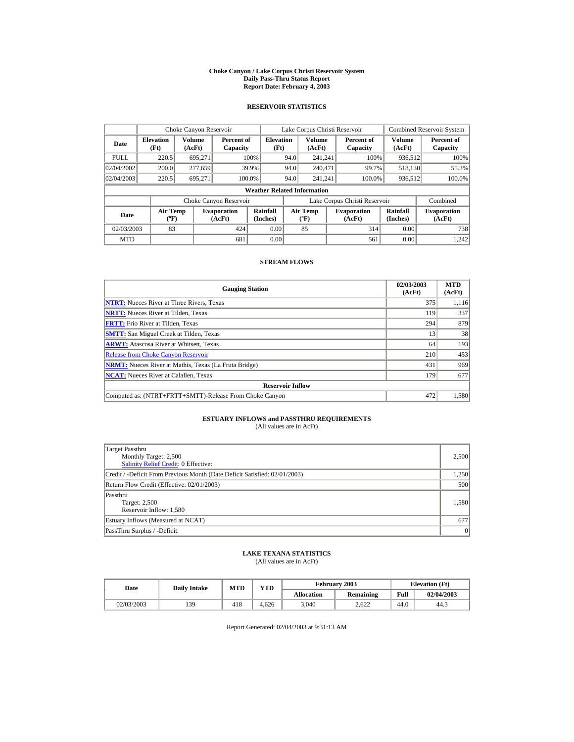#### **Choke Canyon / Lake Corpus Christi Reservoir System Daily Pass-Thru Status Report Report Date: February 4, 2003**

### **RESERVOIR STATISTICS**

|             | Choke Canyon Reservoir                      |                  |                              |                                    |      | Lake Corpus Christi Reservoir             |                               |                      | <b>Combined Reservoir System</b> |
|-------------|---------------------------------------------|------------------|------------------------------|------------------------------------|------|-------------------------------------------|-------------------------------|----------------------|----------------------------------|
| Date        | <b>Elevation</b><br>(Ft)                    | Volume<br>(AcFt) | Percent of<br>Capacity       | <b>Elevation</b><br>(Ft)           |      | Volume<br>(AcFt)                          | Percent of<br>Capacity        | Volume<br>(AcFt)     | Percent of<br>Capacity           |
| <b>FULL</b> | 220.5                                       | 695.271          |                              | 100%                               | 94.0 | 241.241                                   | 100%                          | 936,512              | 100%                             |
| 02/04/2002  | 200.0                                       | 277,659          |                              | 39.9%                              | 94.0 | 240,471                                   | 99.7%                         | 518,130              | 55.3%                            |
| 02/04/2003  | 220.5                                       | 695.271          | 100.0%                       |                                    | 94.0 | 241.241                                   | 100.0%                        | 936,512              | 100.0%                           |
|             |                                             |                  |                              | <b>Weather Related Information</b> |      |                                           |                               |                      |                                  |
|             |                                             |                  | Choke Canyon Reservoir       |                                    |      |                                           | Lake Corpus Christi Reservoir |                      | Combined                         |
| Date        | <b>Air Temp</b><br>$({}^{\circ}\mathrm{F})$ |                  | <b>Evaporation</b><br>(AcFt) | Rainfall<br>(Inches)               |      | <b>Air Temp</b><br>$({}^{\circ}\text{F})$ | <b>Evaporation</b><br>(AcFt)  | Rainfall<br>(Inches) | <b>Evaporation</b><br>(AcFt)     |
| 02/03/2003  | 83                                          |                  | 424                          | 0.00                               |      | 85                                        | 314                           | 0.00                 | 738                              |
| <b>MTD</b>  |                                             |                  | 681                          | 0.00                               |      |                                           | 561                           | 0.00                 | 1.242                            |

#### **STREAM FLOWS**

| <b>Gauging Station</b>                                       | 02/03/2003<br>(AcFt) | <b>MTD</b><br>(AcFt) |
|--------------------------------------------------------------|----------------------|----------------------|
| <b>NTRT:</b> Nueces River at Three Rivers, Texas             | 375                  | 1,116                |
| <b>NRTT:</b> Nueces River at Tilden, Texas                   | 119                  | 337                  |
| <b>FRTT:</b> Frio River at Tilden, Texas                     | 294                  | 879                  |
| <b>SMTT:</b> San Miguel Creek at Tilden, Texas               | 13                   | 38                   |
| <b>ARWT:</b> Atascosa River at Whitsett, Texas               | 64                   | 193                  |
| <b>Release from Choke Canyon Reservoir</b>                   | 210                  | 453                  |
| <b>NRMT:</b> Nueces River at Mathis, Texas (La Fruta Bridge) | 431                  | 969                  |
| <b>NCAT:</b> Nueces River at Calallen, Texas                 | 179                  | 677                  |
| <b>Reservoir Inflow</b>                                      |                      |                      |
| Computed as: (NTRT+FRTT+SMTT)-Release From Choke Canyon      | 472                  | 1,580                |

# **ESTUARY INFLOWS and PASSTHRU REQUIREMENTS**<br>(All values are in AcFt)

| Target Passthru<br>Monthly Target: 2,500<br>Salinity Relief Credit: 0 Effective: | 2,500 |
|----------------------------------------------------------------------------------|-------|
| Credit / -Deficit From Previous Month (Date Deficit Satisfied: 02/01/2003)       | 1,250 |
| Return Flow Credit (Effective: 02/01/2003)                                       | 500   |
| Passthru<br>Target: 2,500<br>Reservoir Inflow: 1,580                             | 1,580 |
| Estuary Inflows (Measured at NCAT)                                               | 677   |
| PassThru Surplus / -Deficit:                                                     | 0     |

## **LAKE TEXANA STATISTICS**

(All values are in AcFt)

| Date       | <b>Daily Intake</b> | $\mathbf{v}\mathbf{T}\mathbf{D}$<br><b>MTD</b> |       |                   | February 2003 | <b>Elevation</b> (Ft) |            |
|------------|---------------------|------------------------------------------------|-------|-------------------|---------------|-----------------------|------------|
|            |                     |                                                |       | <b>Allocation</b> | Remaining     | Full                  | 02/04/2003 |
| 02/03/2003 | 139                 | 418                                            | 4.626 | 3,040             | 2.622         | 44.0                  | 44.3       |

Report Generated: 02/04/2003 at 9:31:13 AM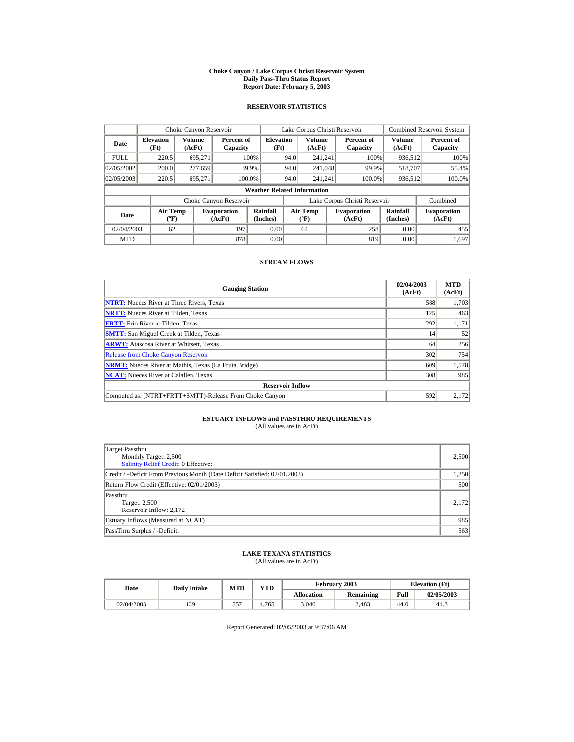#### **Choke Canyon / Lake Corpus Christi Reservoir System Daily Pass-Thru Status Report Report Date: February 5, 2003**

### **RESERVOIR STATISTICS**

|             | Choke Canyon Reservoir   |                                                                                                                                                                                                          |                        |                                    |      | Lake Corpus Christi Reservoir |                               |                  | <b>Combined Reservoir System</b> |
|-------------|--------------------------|----------------------------------------------------------------------------------------------------------------------------------------------------------------------------------------------------------|------------------------|------------------------------------|------|-------------------------------|-------------------------------|------------------|----------------------------------|
| Date        | <b>Elevation</b><br>(Ft) | Volume<br>(AcFt)                                                                                                                                                                                         | Percent of<br>Capacity | <b>Elevation</b><br>(Ft)           |      | <b>Volume</b><br>(AcFt)       | Percent of<br>Capacity        | Volume<br>(AcFt) | Percent of<br>Capacity           |
| <b>FULL</b> | 220.5                    | 695,271                                                                                                                                                                                                  |                        | 100%                               | 94.0 | 241.241                       | 100%                          | 936,512          | 100%                             |
| 02/05/2002  | 200.0                    | 277,659                                                                                                                                                                                                  |                        | 39.9%                              | 94.0 | 241,048                       | 99.9%                         | 518,707          | 55.4%                            |
| 02/05/2003  | 220.5                    | 695.271                                                                                                                                                                                                  | 100.0%                 |                                    | 94.0 | 241.241                       | 100.0%                        | 936,512          | 100.0%                           |
|             |                          |                                                                                                                                                                                                          |                        | <b>Weather Related Information</b> |      |                               |                               |                  |                                  |
|             |                          |                                                                                                                                                                                                          | Choke Canyon Reservoir |                                    |      |                               | Lake Corpus Christi Reservoir |                  | Combined                         |
| Date        |                          | Rainfall<br>Rainfall<br><b>Air Temp</b><br><b>Air Temp</b><br><b>Evaporation</b><br><b>Evaporation</b><br>$({}^{\circ}\mathrm{F})$<br>(Inches)<br>(Inches)<br>(AcFt)<br>$({}^{\circ}\text{F})$<br>(AcFt) |                        | <b>Evaporation</b><br>(AcFt)       |      |                               |                               |                  |                                  |
| 02/04/2003  | 62                       |                                                                                                                                                                                                          | 197                    | 0.00                               |      | 64                            | 258                           | 0.00             | 455                              |
| <b>MTD</b>  |                          |                                                                                                                                                                                                          | 878                    | 0.00                               |      |                               | 819                           | 0.00             | 1.697                            |

#### **STREAM FLOWS**

| <b>Gauging Station</b>                                       | 02/04/2003<br>(AcFt) | <b>MTD</b><br>(AcFt) |
|--------------------------------------------------------------|----------------------|----------------------|
| <b>NTRT:</b> Nueces River at Three Rivers, Texas             | 588                  | 1,703                |
| <b>NRTT:</b> Nueces River at Tilden, Texas                   | 125                  | 463                  |
| <b>FRTT:</b> Frio River at Tilden, Texas                     | 292                  | 1,171                |
| <b>SMTT:</b> San Miguel Creek at Tilden, Texas               | 14                   | 52                   |
| <b>ARWT:</b> Atascosa River at Whitsett, Texas               | 64                   | 256                  |
| <b>Release from Choke Canyon Reservoir</b>                   | 302                  | 754                  |
| <b>NRMT:</b> Nueces River at Mathis, Texas (La Fruta Bridge) | 609                  | 1,578                |
| <b>NCAT:</b> Nueces River at Calallen, Texas                 | 308                  | 985                  |
| <b>Reservoir Inflow</b>                                      |                      |                      |
| Computed as: (NTRT+FRTT+SMTT)-Release From Choke Canyon      | 592                  | 2,172                |

# **ESTUARY INFLOWS and PASSTHRU REQUIREMENTS**<br>(All values are in AcFt)

| Target Passthru<br>Monthly Target: 2,500<br><b>Salinity Relief Credit: 0 Effective:</b> | 2,500 |
|-----------------------------------------------------------------------------------------|-------|
| Credit / -Deficit From Previous Month (Date Deficit Satisfied: 02/01/2003)              | 1,250 |
| Return Flow Credit (Effective: 02/01/2003)                                              | 500   |
| Passthru<br>Target: 2,500<br>Reservoir Inflow: 2,172                                    | 2.172 |
| Estuary Inflows (Measured at NCAT)                                                      | 985   |
| PassThru Surplus / -Deficit:                                                            | 563   |

## **LAKE TEXANA STATISTICS**

(All values are in AcFt)

| Date       | <b>Daily Intake</b> | <b>MTD</b> | $\mathbf{v}\mathbf{T}\mathbf{D}$ |                   | February 2003 |      | <b>Elevation</b> (Ft) |
|------------|---------------------|------------|----------------------------------|-------------------|---------------|------|-----------------------|
|            |                     |            |                                  | <b>Allocation</b> | Remaining     | Full | 02/05/2003            |
| 02/04/2003 | 139                 | 557        | .765<br>4.7                      | 3,040             | 2.483         | 44.0 | 44.3                  |

Report Generated: 02/05/2003 at 9:37:06 AM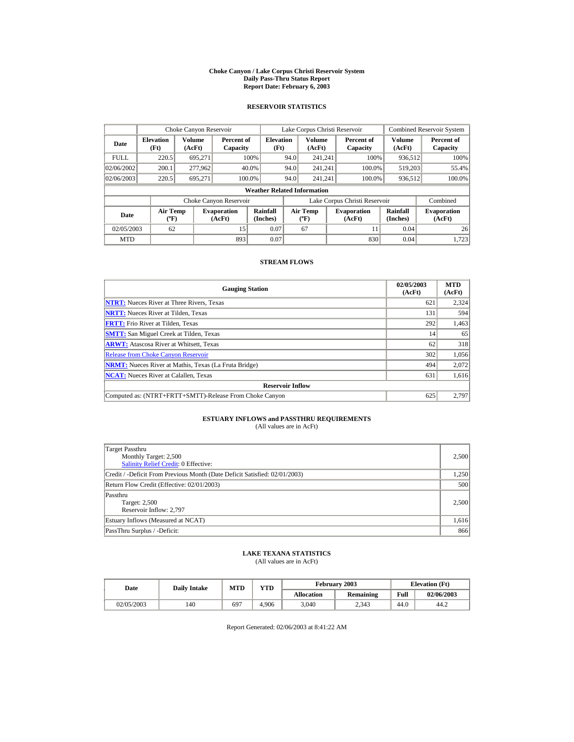#### **Choke Canyon / Lake Corpus Christi Reservoir System Daily Pass-Thru Status Report Report Date: February 6, 2003**

### **RESERVOIR STATISTICS**

|             | Choke Canyon Reservoir                      |                  |                                                                                                                                                           |                                    |                              | Lake Corpus Christi Reservoir |                               |                  | <b>Combined Reservoir System</b> |
|-------------|---------------------------------------------|------------------|-----------------------------------------------------------------------------------------------------------------------------------------------------------|------------------------------------|------------------------------|-------------------------------|-------------------------------|------------------|----------------------------------|
| Date        | <b>Elevation</b><br>(Ft)                    | Volume<br>(AcFt) | Percent of<br>Capacity                                                                                                                                    | <b>Elevation</b><br>(Ft)           |                              | Volume<br>(AcFt)              | Percent of<br>Capacity        | Volume<br>(AcFt) | Percent of<br>Capacity           |
| <b>FULL</b> | 220.5                                       | 695.271          |                                                                                                                                                           | 100%                               | 94.0                         | 241.241                       | 100%                          | 936,512          | 100%                             |
| 02/06/2002  | 200.1                                       | 277,962          |                                                                                                                                                           | 40.0%                              | 94.0                         | 241.241                       | 100.0%                        | 519.203          | 55.4%                            |
| 02/06/2003  | 220.5                                       | 695.271          |                                                                                                                                                           | 100.0%                             | 94.0                         | 241.241                       | 100.0%                        | 936,512          | 100.0%                           |
|             |                                             |                  |                                                                                                                                                           | <b>Weather Related Information</b> |                              |                               |                               |                  |                                  |
|             |                                             |                  | Choke Canyon Reservoir                                                                                                                                    |                                    |                              |                               | Lake Corpus Christi Reservoir |                  | Combined                         |
| Date        | <b>Air Temp</b><br>$({}^{\circ}\mathrm{F})$ |                  | Rainfall<br>Rainfall<br><b>Air Temp</b><br><b>Evaporation</b><br><b>Evaporation</b><br>(Inches)<br>(Inches)<br>(AcFt)<br>$({}^{\circ}\text{F})$<br>(AcFt) |                                    | <b>Evaporation</b><br>(AcFt) |                               |                               |                  |                                  |
| 02/05/2003  | 62                                          |                  | 15                                                                                                                                                        | 0.07                               |                              | 67                            | 11                            | 0.04             | 26                               |
| <b>MTD</b>  |                                             |                  | 893                                                                                                                                                       | 0.07                               |                              |                               | 830                           | 0.04             | 1.723                            |

#### **STREAM FLOWS**

| <b>Gauging Station</b>                                       | 02/05/2003<br>(AcFt) | <b>MTD</b><br>(AcFt) |
|--------------------------------------------------------------|----------------------|----------------------|
| <b>NTRT:</b> Nueces River at Three Rivers, Texas             | 621                  | 2,324                |
| <b>NRTT:</b> Nueces River at Tilden, Texas                   | 131                  | 594                  |
| <b>FRTT:</b> Frio River at Tilden, Texas                     | 292                  | 1,463                |
| <b>SMTT:</b> San Miguel Creek at Tilden, Texas               | 14                   | 65                   |
| <b>ARWT:</b> Atascosa River at Whitsett, Texas               | 62                   | 318                  |
| <b>Release from Choke Canyon Reservoir</b>                   | 302                  | 1,056                |
| <b>NRMT:</b> Nueces River at Mathis, Texas (La Fruta Bridge) | 494                  | 2,072                |
| <b>NCAT:</b> Nueces River at Calallen, Texas                 | 631                  | 1,616                |
| <b>Reservoir Inflow</b>                                      |                      |                      |
| Computed as: (NTRT+FRTT+SMTT)-Release From Choke Canyon      | 625                  | 2,797                |

# **ESTUARY INFLOWS and PASSTHRU REQUIREMENTS**<br>(All values are in AcFt)

| Target Passthru<br>Monthly Target: 2,500<br>Salinity Relief Credit: 0 Effective: | 2,500 |
|----------------------------------------------------------------------------------|-------|
| Credit / -Deficit From Previous Month (Date Deficit Satisfied: 02/01/2003)       | 1,250 |
| Return Flow Credit (Effective: 02/01/2003)                                       | 500   |
| Passthru<br><b>Target: 2,500</b><br>Reservoir Inflow: 2,797                      | 2.500 |
| Estuary Inflows (Measured at NCAT)                                               | 1,616 |
| PassThru Surplus / -Deficit:                                                     | 866   |

## **LAKE TEXANA STATISTICS**

(All values are in AcFt)

| Date |            |     | $\mathbf{v}\mathbf{T}\mathbf{D}$<br><b>MTD</b><br><b>Daily Intake</b> |       |                   | February 2003 | <b>Elevation</b> (Ft) |            |
|------|------------|-----|-----------------------------------------------------------------------|-------|-------------------|---------------|-----------------------|------------|
|      |            |     |                                                                       |       | <b>Allocation</b> | Remaining     | Full                  | 02/06/2003 |
|      | 02/05/2003 | 140 | 697                                                                   | 4.906 | 3,040             | 2.343         | 44.0                  | 44.2       |

Report Generated: 02/06/2003 at 8:41:22 AM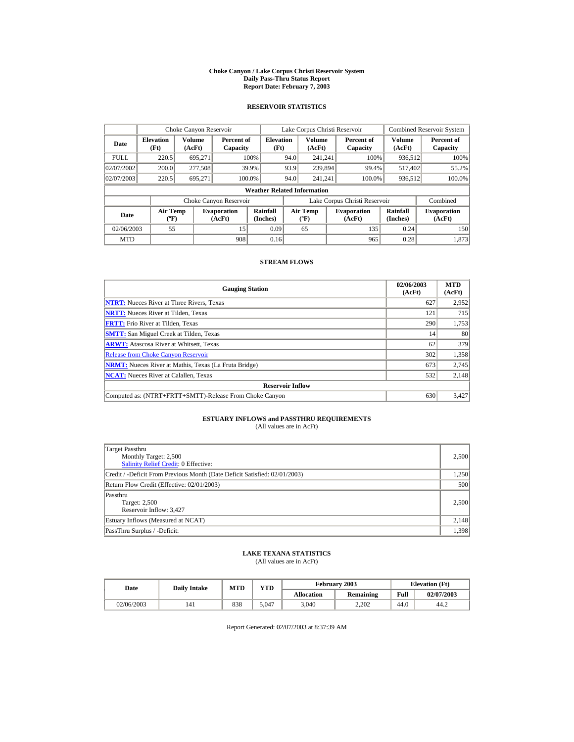#### **Choke Canyon / Lake Corpus Christi Reservoir System Daily Pass-Thru Status Report Report Date: February 7, 2003**

### **RESERVOIR STATISTICS**

|             | Choke Canyon Reservoir                      |                  |                              |                                    |                               | Lake Corpus Christi Reservoir             |  |                              |                      | <b>Combined Reservoir System</b> |
|-------------|---------------------------------------------|------------------|------------------------------|------------------------------------|-------------------------------|-------------------------------------------|--|------------------------------|----------------------|----------------------------------|
| Date        | <b>Elevation</b><br>(Ft)                    | Volume<br>(AcFt) | Percent of<br>Capacity       | <b>Elevation</b><br>(Ft)           |                               | Volume<br>(AcFt)                          |  | Percent of<br>Capacity       | Volume<br>(AcFt)     | Percent of<br>Capacity           |
| <b>FULL</b> | 220.5                                       | 695.271          |                              | 100%                               | 94.0                          | 241.241                                   |  | 100%                         | 936,512              | 100%                             |
| 02/07/2002  | 200.0                                       | 277,508          |                              | 39.9%                              | 93.9                          | 239,894                                   |  | 99.4%                        | 517.402              | 55.2%                            |
| 02/07/2003  | 220.5                                       | 695.271          |                              | 100.0%                             | 94.0                          | 241.241                                   |  | 100.0%                       | 936,512              | 100.0%                           |
|             |                                             |                  |                              | <b>Weather Related Information</b> |                               |                                           |  |                              |                      |                                  |
|             |                                             |                  | Choke Canyon Reservoir       |                                    | Lake Corpus Christi Reservoir |                                           |  |                              | Combined             |                                  |
| Date        | <b>Air Temp</b><br>$({}^{\circ}\mathrm{F})$ |                  | <b>Evaporation</b><br>(AcFt) | Rainfall<br>(Inches)               |                               | <b>Air Temp</b><br>$({}^{\circ}\text{F})$ |  | <b>Evaporation</b><br>(AcFt) | Rainfall<br>(Inches) | <b>Evaporation</b><br>(AcFt)     |
| 02/06/2003  | 55                                          |                  | 15                           | 0.09                               |                               | 65                                        |  | 135                          | 0.24                 | 150                              |
| <b>MTD</b>  |                                             |                  | 908                          | 0.16                               |                               |                                           |  | 965                          | 0.28                 | 1.873                            |

#### **STREAM FLOWS**

| <b>Gauging Station</b>                                       | 02/06/2003<br>(AcFt) | <b>MTD</b><br>(AcFt) |
|--------------------------------------------------------------|----------------------|----------------------|
| <b>NTRT:</b> Nueces River at Three Rivers, Texas             | 627                  | 2,952                |
| <b>NRTT:</b> Nueces River at Tilden, Texas                   | 121                  | 715                  |
| <b>FRTT:</b> Frio River at Tilden, Texas                     | 290                  | 1,753                |
| <b>SMTT:</b> San Miguel Creek at Tilden, Texas               | 14                   | 80                   |
| <b>ARWT:</b> Atascosa River at Whitsett, Texas               | 62                   | 379                  |
| <b>Release from Choke Canyon Reservoir</b>                   | 302                  | 1,358                |
| <b>NRMT:</b> Nueces River at Mathis, Texas (La Fruta Bridge) | 673                  | 2,745                |
| <b>NCAT:</b> Nueces River at Calallen, Texas                 | 532                  | 2,148                |
| <b>Reservoir Inflow</b>                                      |                      |                      |
| Computed as: (NTRT+FRTT+SMTT)-Release From Choke Canyon      | 630                  | 3,427                |

# **ESTUARY INFLOWS and PASSTHRU REQUIREMENTS**<br>(All values are in AcFt)

| Target Passthru<br>Monthly Target: 2,500<br>Salinity Relief Credit: 0 Effective: | 2,500 |
|----------------------------------------------------------------------------------|-------|
| Credit / -Deficit From Previous Month (Date Deficit Satisfied: 02/01/2003)       | 1,250 |
| Return Flow Credit (Effective: 02/01/2003)                                       | 500   |
| Passthru<br><b>Target: 2,500</b><br>Reservoir Inflow: 3,427                      | 2.500 |
| Estuary Inflows (Measured at NCAT)                                               | 2,148 |
| PassThru Surplus / -Deficit:                                                     | 1,398 |

## **LAKE TEXANA STATISTICS**

(All values are in AcFt)

| Date       | <b>Daily Intake</b> | <b>MTD</b> | $\mathbf{v}\mathbf{T}\mathbf{D}$ |                   | February 2003 | <b>Elevation</b> (Ft) |            |
|------------|---------------------|------------|----------------------------------|-------------------|---------------|-----------------------|------------|
|            |                     |            |                                  | <b>Allocation</b> | Remaining     | Full                  | 02/07/2003 |
| 02/06/2003 | 141                 | 838        | 5.047                            | 3,040             | 2.202         | 44.0                  | 44.2       |

Report Generated: 02/07/2003 at 8:37:39 AM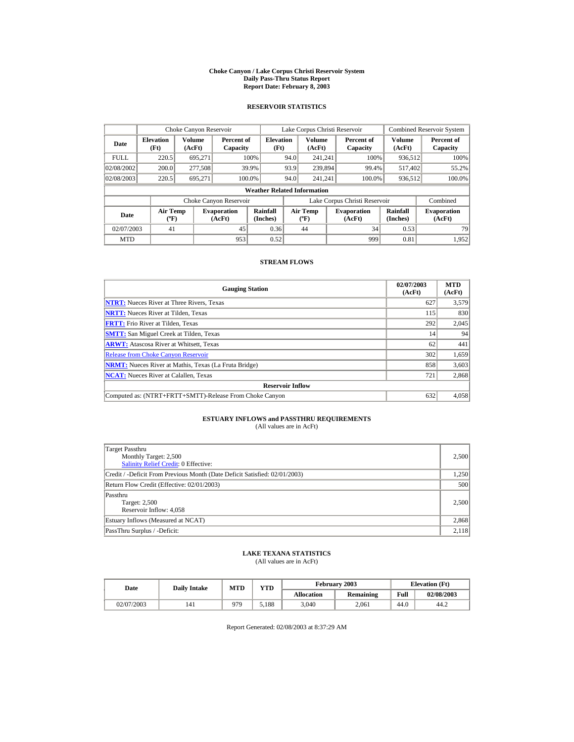#### **Choke Canyon / Lake Corpus Christi Reservoir System Daily Pass-Thru Status Report Report Date: February 8, 2003**

### **RESERVOIR STATISTICS**

|             | Choke Canyon Reservoir                      |                  |                              |                                    |      | Lake Corpus Christi Reservoir           |                               |                      | <b>Combined Reservoir System</b> |
|-------------|---------------------------------------------|------------------|------------------------------|------------------------------------|------|-----------------------------------------|-------------------------------|----------------------|----------------------------------|
| Date        | <b>Elevation</b><br>(Ft)                    | Volume<br>(AcFt) | Percent of<br>Capacity       | <b>Elevation</b><br>(Ft)           |      | <b>Volume</b><br>(AcFt)                 | Percent of<br>Capacity        | Volume<br>(AcFt)     | Percent of<br>Capacity           |
| <b>FULL</b> | 220.5                                       | 695.271          |                              | 100%                               | 94.0 | 241.241                                 | 100%                          | 936,512              | 100%                             |
| 02/08/2002  | 200.0                                       | 277,508          |                              | 39.9%                              | 93.9 | 239,894                                 | 99.4%                         | 517.402              | 55.2%                            |
| 02/08/2003  | 220.5                                       | 695,271          | 100.0%                       |                                    | 94.0 | 241.241                                 | 100.0%                        | 936,512              | 100.0%                           |
|             |                                             |                  |                              | <b>Weather Related Information</b> |      |                                         |                               |                      |                                  |
|             |                                             |                  | Choke Canyon Reservoir       |                                    |      |                                         | Lake Corpus Christi Reservoir |                      | Combined                         |
| Date        | <b>Air Temp</b><br>$({}^{\circ}\mathrm{F})$ |                  | <b>Evaporation</b><br>(AcFt) | Rainfall<br>(Inches)               |      | <b>Air Temp</b><br>$(^{\circ}\text{F})$ | <b>Evaporation</b><br>(AcFt)  | Rainfall<br>(Inches) | <b>Evaporation</b><br>(AcFt)     |
| 02/07/2003  | 41                                          |                  | 45                           | 0.36                               |      | 44                                      | 34                            | 0.53                 | 79                               |
| <b>MTD</b>  |                                             |                  | 953                          | 0.52                               |      |                                         | 999                           | 0.81                 | 1.952                            |

#### **STREAM FLOWS**

| <b>Gauging Station</b>                                       | 02/07/2003<br>(AcFt) | <b>MTD</b><br>(AcFt) |
|--------------------------------------------------------------|----------------------|----------------------|
| <b>NTRT:</b> Nueces River at Three Rivers, Texas             | 627                  | 3,579                |
| <b>NRTT:</b> Nueces River at Tilden, Texas                   | 115                  | 830                  |
| <b>FRTT:</b> Frio River at Tilden, Texas                     | 292                  | 2,045                |
| <b>SMTT:</b> San Miguel Creek at Tilden, Texas               | 14                   | 94                   |
| <b>ARWT:</b> Atascosa River at Whitsett, Texas               | 62                   | 441                  |
| <b>Release from Choke Canyon Reservoir</b>                   | 302                  | 1,659                |
| <b>NRMT:</b> Nueces River at Mathis, Texas (La Fruta Bridge) | 858                  | 3,603                |
| <b>NCAT:</b> Nueces River at Calallen, Texas                 | 721                  | 2,868                |
| <b>Reservoir Inflow</b>                                      |                      |                      |
| Computed as: (NTRT+FRTT+SMTT)-Release From Choke Canyon      | 632                  | 4,058                |

# **ESTUARY INFLOWS and PASSTHRU REQUIREMENTS**<br>(All values are in AcFt)

| Target Passthru<br>Monthly Target: 2,500<br>Salinity Relief Credit: 0 Effective: | 2,500 |
|----------------------------------------------------------------------------------|-------|
| Credit / -Deficit From Previous Month (Date Deficit Satisfied: 02/01/2003)       | 1,250 |
| Return Flow Credit (Effective: 02/01/2003)                                       | 500   |
| Passthru<br>Target: 2,500<br>Reservoir Inflow: 4,058                             | 2.500 |
| Estuary Inflows (Measured at NCAT)                                               | 2,868 |
| PassThru Surplus / -Deficit:                                                     | 2,118 |

## **LAKE TEXANA STATISTICS**

(All values are in AcFt)

| Date       | <b>Daily Intake</b> | <b>MTD</b> | $\mathbf{v}\mathbf{T}\mathbf{D}$ |                   | February 2003 |      | <b>Elevation</b> (Ft) |
|------------|---------------------|------------|----------------------------------|-------------------|---------------|------|-----------------------|
|            |                     |            |                                  | <b>Allocation</b> | Remaining     | Full | 02/08/2003            |
| 02/07/2003 | 141                 | 979        | .188                             | 3,040             | 2.061         | 44.0 | 44.2                  |

Report Generated: 02/08/2003 at 8:37:29 AM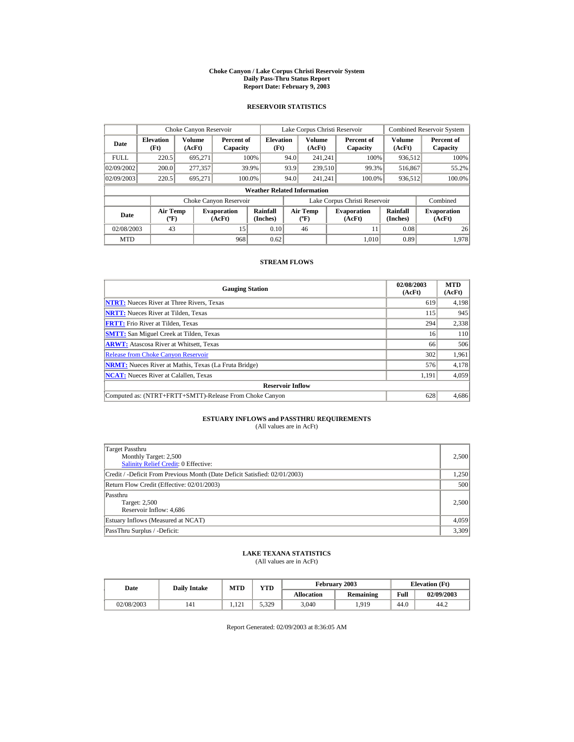#### **Choke Canyon / Lake Corpus Christi Reservoir System Daily Pass-Thru Status Report Report Date: February 9, 2003**

### **RESERVOIR STATISTICS**

| Choke Canyon Reservoir |                                             |                         |                              |                                    |                               | Lake Corpus Christi Reservoir           |  |                              |                      | <b>Combined Reservoir System</b> |
|------------------------|---------------------------------------------|-------------------------|------------------------------|------------------------------------|-------------------------------|-----------------------------------------|--|------------------------------|----------------------|----------------------------------|
| Date                   | <b>Elevation</b><br>(Ft)                    | <b>Volume</b><br>(AcFt) | Percent of<br>Capacity       | <b>Elevation</b><br>(Ft)           |                               | Volume<br>(AcFt)                        |  | Percent of<br>Capacity       | Volume<br>(AcFt)     | Percent of<br>Capacity           |
| <b>FULL</b>            | 220.5                                       | 695.271                 |                              | 100%                               | 94.0                          | 241.241                                 |  | 100%                         | 936,512              | 100%                             |
| 02/09/2002             | 200.0                                       | 277,357                 |                              | 39.9%                              | 93.9                          | 239,510                                 |  | 99.3%                        | 516,867              | 55.2%                            |
| 02/09/2003             | 220.5                                       | 695,271                 |                              | 100.0%                             | 94.0                          | 241.241                                 |  | 100.0%                       | 936,512              | 100.0%                           |
|                        |                                             |                         |                              | <b>Weather Related Information</b> |                               |                                         |  |                              |                      |                                  |
|                        |                                             |                         | Choke Canyon Reservoir       |                                    | Lake Corpus Christi Reservoir |                                         |  |                              | Combined             |                                  |
| Date                   | <b>Air Temp</b><br>$({}^{\circ}\mathrm{F})$ |                         | <b>Evaporation</b><br>(AcFt) | Rainfall<br>(Inches)               |                               | <b>Air Temp</b><br>$(^{\circ}\text{F})$ |  | <b>Evaporation</b><br>(AcFt) | Rainfall<br>(Inches) | <b>Evaporation</b><br>(AcFt)     |
| 02/08/2003             | 43                                          |                         | 15                           | 0.10                               |                               | 46                                      |  | 11                           | 0.08                 | 26                               |
| <b>MTD</b>             |                                             |                         | 968                          | 0.62                               |                               |                                         |  | 1.010                        | 0.89                 | 1.978                            |

#### **STREAM FLOWS**

| <b>Gauging Station</b>                                       | 02/08/2003<br>(AcFt) | <b>MTD</b><br>(AcFt) |
|--------------------------------------------------------------|----------------------|----------------------|
| <b>NTRT:</b> Nueces River at Three Rivers, Texas             | 619                  | 4,198                |
| <b>NRTT:</b> Nueces River at Tilden. Texas                   | 115                  | 945                  |
| <b>FRTT:</b> Frio River at Tilden, Texas                     | 294                  | 2,338                |
| <b>SMTT:</b> San Miguel Creek at Tilden, Texas               | 16                   | <b>110</b>           |
| <b>ARWT:</b> Atascosa River at Whitsett, Texas               | 66                   | 506                  |
| <b>Release from Choke Canyon Reservoir</b>                   | 302                  | 1,961                |
| <b>NRMT:</b> Nueces River at Mathis, Texas (La Fruta Bridge) | 576                  | 4,178                |
| <b>NCAT:</b> Nueces River at Calallen, Texas                 | 1,191                | 4,059                |
| <b>Reservoir Inflow</b>                                      |                      |                      |
| Computed as: (NTRT+FRTT+SMTT)-Release From Choke Canyon      | 628                  | 4,686                |

# **ESTUARY INFLOWS and PASSTHRU REQUIREMENTS**<br>(All values are in AcFt)

| Target Passthru<br>Monthly Target: 2,500<br><b>Salinity Relief Credit: 0 Effective:</b> | 2.500 |
|-----------------------------------------------------------------------------------------|-------|
| Credit / -Deficit From Previous Month (Date Deficit Satisfied: 02/01/2003)              | 1,250 |
| Return Flow Credit (Effective: 02/01/2003)                                              | 500   |
| Passthru<br>Target: 2,500<br>Reservoir Inflow: 4,686                                    | 2.500 |
| Estuary Inflows (Measured at NCAT)                                                      | 4,059 |
| PassThru Surplus / -Deficit:                                                            | 3,309 |

## **LAKE TEXANA STATISTICS**

(All values are in AcFt)

| Date       | <b>Daily Intake</b> | <b>MTD</b>           | YTD   |                   | February 2003 | <b>Elevation</b> (Ft) |            |
|------------|---------------------|----------------------|-------|-------------------|---------------|-----------------------|------------|
|            |                     |                      |       | <b>Allocation</b> | Remaining     | Full                  | 02/09/2003 |
| 02/08/2003 | 141                 | $1^{\sim}1$<br>1.121 | 5.329 | 3,040             | .919          | 44.0                  | 44.2       |

Report Generated: 02/09/2003 at 8:36:05 AM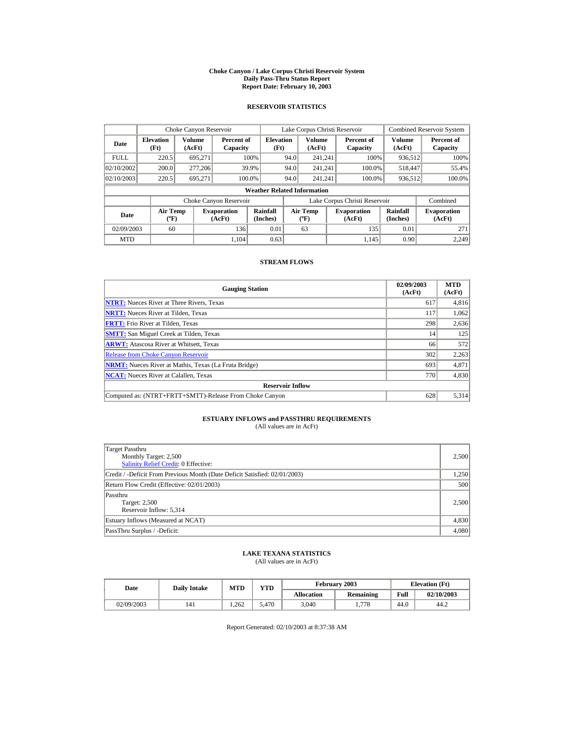#### **Choke Canyon / Lake Corpus Christi Reservoir System Daily Pass-Thru Status Report Report Date: February 10, 2003**

### **RESERVOIR STATISTICS**

|                                                     | Choke Canyon Reservoir                       |         |                              |                                    |      | Lake Corpus Christi Reservoir               |                               |                      | <b>Combined Reservoir System</b> |
|-----------------------------------------------------|----------------------------------------------|---------|------------------------------|------------------------------------|------|---------------------------------------------|-------------------------------|----------------------|----------------------------------|
| Date                                                | Volume<br><b>Elevation</b><br>(Ft)<br>(AcFt) |         | Percent of<br>Capacity       | <b>Elevation</b><br>(Ft)           |      | Volume<br>(AcFt)                            | Percent of<br>Capacity        | Volume<br>(AcFt)     | Percent of<br>Capacity           |
| <b>FULL</b>                                         | 220.5                                        | 695.271 |                              | 100%                               | 94.0 | 241.241                                     | 100%                          | 936,512              | 100%                             |
| 02/10/2002                                          | 200.0                                        | 277,206 |                              | 39.9%                              | 94.0 | 241.241                                     | 100.0%                        | 518,447              | 55.4%                            |
| 02/10/2003                                          | 220.5                                        | 695.271 |                              | 100.0%                             | 94.0 | 241.241                                     | 100.0%                        | 936,512              | 100.0%                           |
|                                                     |                                              |         |                              | <b>Weather Related Information</b> |      |                                             |                               |                      |                                  |
|                                                     |                                              |         | Choke Canyon Reservoir       |                                    |      |                                             | Lake Corpus Christi Reservoir |                      | Combined                         |
| <b>Air Temp</b><br>Date<br>$({}^{\circ}\mathrm{F})$ |                                              |         | <b>Evaporation</b><br>(AcFt) | Rainfall<br>(Inches)               |      | <b>Air Temp</b><br>$({}^{\circ}\mathbf{F})$ | <b>Evaporation</b><br>(AcFt)  | Rainfall<br>(Inches) | <b>Evaporation</b><br>(AcFt)     |
| 02/09/2003                                          | 60                                           |         | 136                          | 0.01                               |      | 63                                          | 135                           | 0.01                 | 271                              |
| <b>MTD</b>                                          |                                              |         | 1.104                        | 0.63                               |      |                                             | 1.145                         | 0.90                 | 2.249                            |

#### **STREAM FLOWS**

| <b>Gauging Station</b>                                       | 02/09/2003<br>(AcFt) | <b>MTD</b><br>(AcFt) |
|--------------------------------------------------------------|----------------------|----------------------|
| <b>NTRT:</b> Nueces River at Three Rivers, Texas             | 617                  | 4,816                |
| <b>NRTT:</b> Nueces River at Tilden, Texas                   | 117                  | 1,062                |
| <b>FRTT:</b> Frio River at Tilden, Texas                     | 298                  | 2,636                |
| <b>SMTT:</b> San Miguel Creek at Tilden, Texas               | 14                   | 125                  |
| <b>ARWT:</b> Atascosa River at Whitsett, Texas               | 66                   | 572                  |
| <b>Release from Choke Canyon Reservoir</b>                   | 302                  | 2,263                |
| <b>NRMT:</b> Nueces River at Mathis, Texas (La Fruta Bridge) | 693                  | 4,871                |
| <b>NCAT:</b> Nueces River at Calallen, Texas                 | 770                  | 4,830                |
| <b>Reservoir Inflow</b>                                      |                      |                      |
| Computed as: (NTRT+FRTT+SMTT)-Release From Choke Canyon      | 628                  | 5,314                |

# **ESTUARY INFLOWS and PASSTHRU REQUIREMENTS**<br>(All values are in AcFt)

| Target Passthru<br>Monthly Target: 2,500<br>Salinity Relief Credit: 0 Effective: | 2,500 |
|----------------------------------------------------------------------------------|-------|
| Credit / -Deficit From Previous Month (Date Deficit Satisfied: 02/01/2003)       | 1,250 |
| Return Flow Credit (Effective: 02/01/2003)                                       | 500   |
| Passthru<br><b>Target: 2,500</b><br>Reservoir Inflow: 5,314                      | 2.500 |
| Estuary Inflows (Measured at NCAT)                                               | 4,830 |
| PassThru Surplus / -Deficit:                                                     | 4,080 |

## **LAKE TEXANA STATISTICS**

(All values are in AcFt)

| Date |            | <b>Daily Intake</b> | <b>MTD</b> | YTD   |                   | <b>February 2003</b> |      | <b>Elevation</b> (Ft) |
|------|------------|---------------------|------------|-------|-------------------|----------------------|------|-----------------------|
|      |            |                     |            |       | <b>Allocation</b> | Remaining            | Full | 02/10/2003            |
|      | 02/09/2003 | 141                 | .262       | 5.470 | 3.040             | 1.778                | 44.0 | 44.2                  |

Report Generated: 02/10/2003 at 8:37:38 AM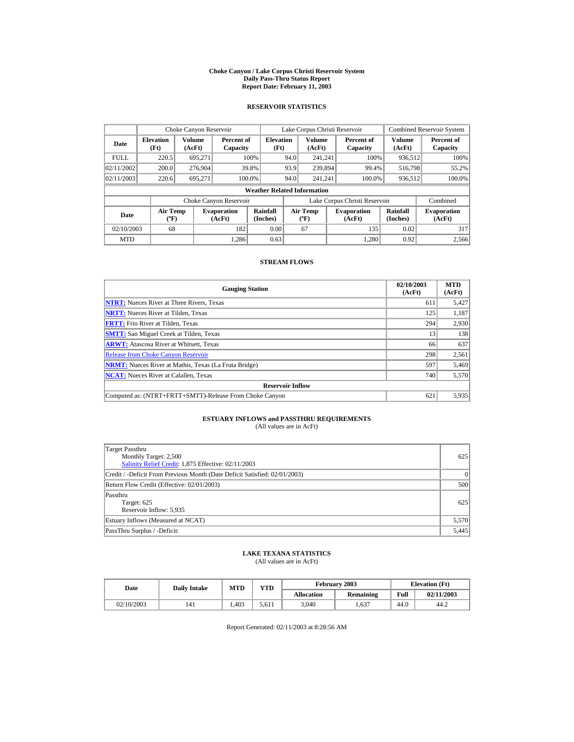#### **Choke Canyon / Lake Corpus Christi Reservoir System Daily Pass-Thru Status Report Report Date: February 11, 2003**

### **RESERVOIR STATISTICS**

|                                                     | Choke Canyon Reservoir   |                  |                              |                                    |      | Lake Corpus Christi Reservoir             |                               |                      | <b>Combined Reservoir System</b> |
|-----------------------------------------------------|--------------------------|------------------|------------------------------|------------------------------------|------|-------------------------------------------|-------------------------------|----------------------|----------------------------------|
| Date                                                | <b>Elevation</b><br>(Ft) | Volume<br>(AcFt) | Percent of<br>Capacity       | <b>Elevation</b><br>(Ft)           |      | Volume<br>(AcFt)                          | Percent of<br>Capacity        | Volume<br>(AcFt)     | Percent of<br>Capacity           |
| <b>FULL</b>                                         | 220.5                    | 695.271          |                              | 100%                               | 94.0 | 241.241                                   | 100%                          | 936,512              | 100%                             |
| 02/11/2002                                          | 200.0                    | 276,904          |                              | 39.8%                              | 93.9 | 239,894                                   | 99.4%                         | 516,798              | 55.2%                            |
| 02/11/2003                                          | 220.6                    | 695.271          |                              | 100.0%                             | 94.0 | 241.241                                   | 100.0%                        | 936,512              | 100.0%                           |
|                                                     |                          |                  |                              | <b>Weather Related Information</b> |      |                                           |                               |                      |                                  |
|                                                     |                          |                  | Choke Canyon Reservoir       |                                    |      |                                           | Lake Corpus Christi Reservoir |                      | Combined                         |
| <b>Air Temp</b><br>Date<br>$({}^{\circ}\mathrm{F})$ |                          |                  | <b>Evaporation</b><br>(AcFt) | Rainfall<br>(Inches)               |      | <b>Air Temp</b><br>$({}^{\circ}\text{F})$ | <b>Evaporation</b><br>(AcFt)  | Rainfall<br>(Inches) | <b>Evaporation</b><br>(AcFt)     |
| 02/10/2003                                          | 68                       |                  | 182                          | 0.00                               |      | 67                                        | 135                           | 0.02                 | 317                              |
| <b>MTD</b>                                          |                          |                  | 1.286                        | 0.63                               |      |                                           | 1.280                         | 0.92                 | 2.566                            |

#### **STREAM FLOWS**

| <b>Gauging Station</b>                                       | 02/10/2003<br>(AcFt) | <b>MTD</b><br>(AcFt) |
|--------------------------------------------------------------|----------------------|----------------------|
| <b>NTRT:</b> Nueces River at Three Rivers, Texas             | 611                  | 5,427                |
| <b>NRTT:</b> Nueces River at Tilden, Texas                   | 125                  | 1,187                |
| <b>FRTT:</b> Frio River at Tilden, Texas                     | 294                  | 2,930                |
| <b>SMTT:</b> San Miguel Creek at Tilden, Texas               | 13                   | 138                  |
| <b>ARWT:</b> Atascosa River at Whitsett, Texas               | 66                   | 637                  |
| <b>Release from Choke Canyon Reservoir</b>                   | 298                  | 2,561                |
| <b>NRMT:</b> Nueces River at Mathis, Texas (La Fruta Bridge) | 597                  | 5,469                |
| <b>NCAT:</b> Nueces River at Calallen, Texas                 | 740                  | 5,570                |
| <b>Reservoir Inflow</b>                                      |                      |                      |
| Computed as: (NTRT+FRTT+SMTT)-Release From Choke Canyon      | 621                  | 5,935                |

# **ESTUARY INFLOWS and PASSTHRU REQUIREMENTS**<br>(All values are in AcFt)

| Target Passthru<br>Monthly Target: 2,500<br>Salinity Relief Credit: 1,875 Effective: 02/11/2003 | 625      |
|-------------------------------------------------------------------------------------------------|----------|
| Credit / -Deficit From Previous Month (Date Deficit Satisfied: 02/01/2003)                      | $\theta$ |
| Return Flow Credit (Effective: 02/01/2003)                                                      | 500      |
| Passthru<br>Target: 625<br>Reservoir Inflow: 5,935                                              | 625      |
| Estuary Inflows (Measured at NCAT)                                                              | 5,570    |
| PassThru Surplus / -Deficit:                                                                    | 5,445    |

## **LAKE TEXANA STATISTICS**

(All values are in AcFt)

| Date       | <b>Daily Intake</b> | <b>MTD</b> | VTD-  |                   | February 2003 |      | <b>Elevation</b> (Ft) |
|------------|---------------------|------------|-------|-------------------|---------------|------|-----------------------|
|            |                     |            |       | <b>Allocation</b> | Remaining     | Full | 02/11/2003            |
| 02/10/2003 | 141                 | .403       | 5.611 | 3,040             | .,637         | 44.0 | 44.2                  |

Report Generated: 02/11/2003 at 8:28:56 AM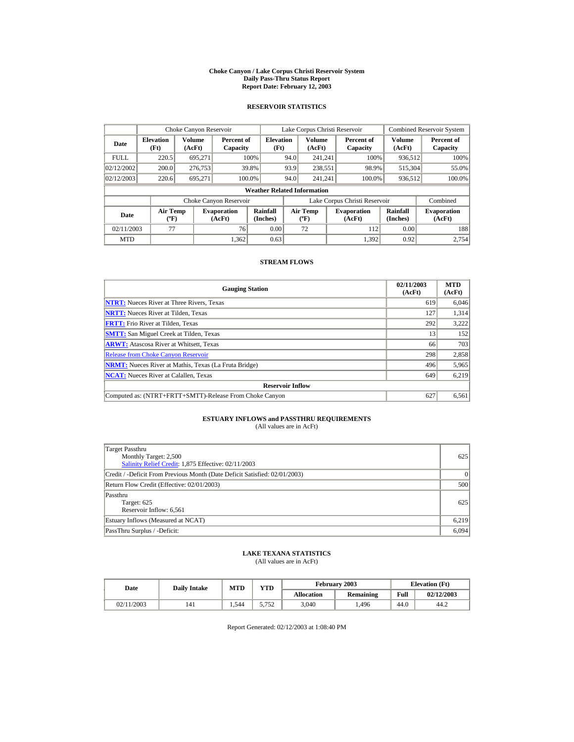#### **Choke Canyon / Lake Corpus Christi Reservoir System Daily Pass-Thru Status Report Report Date: February 12, 2003**

### **RESERVOIR STATISTICS**

| Choke Canyon Reservoir |                                             |                  |                              |                                    |      | Lake Corpus Christi Reservoir            |                               |                      | <b>Combined Reservoir System</b> |
|------------------------|---------------------------------------------|------------------|------------------------------|------------------------------------|------|------------------------------------------|-------------------------------|----------------------|----------------------------------|
| Date                   | <b>Elevation</b><br>(Ft)                    | Volume<br>(AcFt) | Percent of<br>Capacity       | <b>Elevation</b><br>(Ft)           |      | <b>Volume</b><br>(AcFt)                  | Percent of<br>Capacity        | Volume<br>(AcFt)     | Percent of<br>Capacity           |
| <b>FULL</b>            | 220.5                                       | 695.271          |                              | 100%                               | 94.0 | 241.241                                  | 100%                          | 936,512              | 100%                             |
| 02/12/2002             | 200.0                                       | 276,753          |                              | 39.8%                              | 93.9 | 238,551                                  | 98.9%                         | 515,304              | 55.0%                            |
| 02/12/2003             | 220.6                                       | 695,271          | 100.0%                       |                                    | 94.0 | 241.241                                  | 100.0%                        | 936,512              | 100.0%                           |
|                        |                                             |                  |                              | <b>Weather Related Information</b> |      |                                          |                               |                      |                                  |
|                        |                                             |                  | Choke Canyon Reservoir       |                                    |      |                                          | Lake Corpus Christi Reservoir |                      | Combined                         |
| Date                   | <b>Air Temp</b><br>$({}^{\circ}\mathrm{F})$ |                  | <b>Evaporation</b><br>(AcFt) | Rainfall<br>(Inches)               |      | <b>Air Temp</b><br>$({}^{\circ}{\rm F})$ | <b>Evaporation</b><br>(AcFt)  | Rainfall<br>(Inches) | <b>Evaporation</b><br>(AcFt)     |
| 02/11/2003             | 77                                          |                  | 76                           | 0.00                               |      | 72                                       | 112                           | 0.00                 | 188                              |
| <b>MTD</b>             |                                             |                  | 1.362                        | 0.63                               |      |                                          | 1.392                         | 0.92                 | 2.754                            |

#### **STREAM FLOWS**

| <b>Gauging Station</b>                                       | 02/11/2003<br>(AcFt) | <b>MTD</b><br>(AcFt) |
|--------------------------------------------------------------|----------------------|----------------------|
| <b>NTRT:</b> Nueces River at Three Rivers, Texas             | 619                  | 6.046                |
| <b>NRTT:</b> Nueces River at Tilden, Texas                   | 127                  | 1,314                |
| <b>FRTT:</b> Frio River at Tilden, Texas                     | 292                  | 3,222                |
| <b>SMTT:</b> San Miguel Creek at Tilden, Texas               | 13                   | 152                  |
| <b>ARWT:</b> Atascosa River at Whitsett, Texas               | 66                   | 703                  |
| <b>Release from Choke Canyon Reservoir</b>                   | 298                  | 2,858                |
| <b>NRMT:</b> Nueces River at Mathis, Texas (La Fruta Bridge) | 496                  | 5,965                |
| <b>NCAT:</b> Nueces River at Calallen, Texas                 | 649                  | 6,219                |
| <b>Reservoir Inflow</b>                                      |                      |                      |
| Computed as: (NTRT+FRTT+SMTT)-Release From Choke Canyon      | 627                  | 6,561                |

# **ESTUARY INFLOWS and PASSTHRU REQUIREMENTS**<br>(All values are in AcFt)

| Target Passthru<br>Monthly Target: 2,500<br>Salinity Relief Credit: 1,875 Effective: 02/11/2003 | 625      |
|-------------------------------------------------------------------------------------------------|----------|
| Credit / -Deficit From Previous Month (Date Deficit Satisfied: 02/01/2003)                      | $\Omega$ |
| Return Flow Credit (Effective: 02/01/2003)                                                      | 500      |
| Passthru<br>Target: 625<br>Reservoir Inflow: 6,561                                              | 625      |
| Estuary Inflows (Measured at NCAT)                                                              | 6,219    |
| PassThru Surplus / -Deficit:                                                                    | 6,094    |

## **LAKE TEXANA STATISTICS**

(All values are in AcFt)

| Date       | <b>Daily Intake</b> | <b>MTD</b> | <b>VTD</b> |                   | February 2003 |      | <b>Elevation</b> (Ft) |
|------------|---------------------|------------|------------|-------------------|---------------|------|-----------------------|
|            |                     |            |            | <b>Allocation</b> | Remaining     | Full | 02/12/2003            |
| 02/11/2003 | 141                 | . . 544    | 5.752      | 3,040             | .496          | 44.0 | 44.2                  |

Report Generated: 02/12/2003 at 1:08:40 PM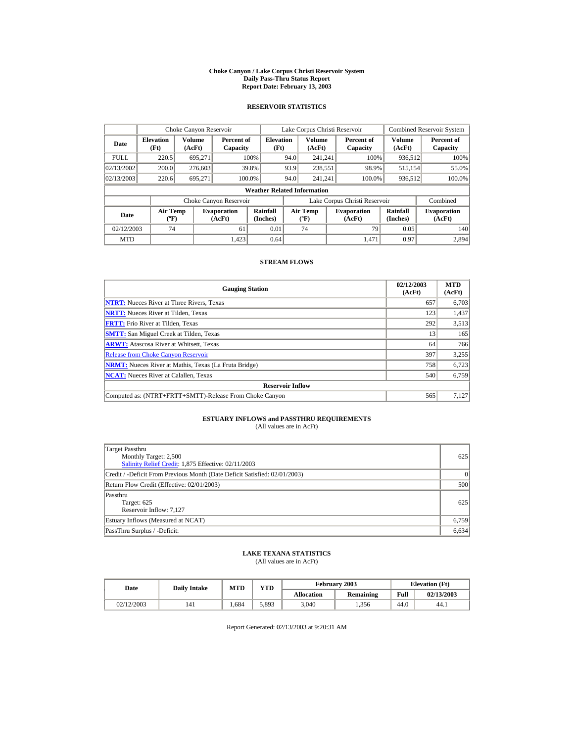#### **Choke Canyon / Lake Corpus Christi Reservoir System Daily Pass-Thru Status Report Report Date: February 13, 2003**

### **RESERVOIR STATISTICS**

| Choke Canyon Reservoir |                                             |                  |                              |                                    |      | Lake Corpus Christi Reservoir            |                               |                      | <b>Combined Reservoir System</b> |
|------------------------|---------------------------------------------|------------------|------------------------------|------------------------------------|------|------------------------------------------|-------------------------------|----------------------|----------------------------------|
| Date                   | <b>Elevation</b><br>(Ft)                    | Volume<br>(AcFt) | Percent of<br>Capacity       | <b>Elevation</b><br>(Ft)           |      | <b>Volume</b><br>(AcFt)                  | Percent of<br>Capacity        | Volume<br>(AcFt)     | Percent of<br>Capacity           |
| <b>FULL</b>            | 220.5                                       | 695.271          |                              | 100%                               | 94.0 | 241.241                                  | 100%                          | 936,512              | 100%                             |
| 02/13/2002             | 200.0                                       | 276,603          |                              | 39.8%                              | 93.9 | 238,551                                  | 98.9%                         | 515,154              | 55.0%                            |
| 02/13/2003             | 220.6                                       | 695,271          | 100.0%                       |                                    | 94.0 | 241.241                                  | 100.0%                        | 936,512              | 100.0%                           |
|                        |                                             |                  |                              | <b>Weather Related Information</b> |      |                                          |                               |                      |                                  |
|                        |                                             |                  | Choke Canyon Reservoir       |                                    |      |                                          | Lake Corpus Christi Reservoir |                      | Combined                         |
| Date                   | <b>Air Temp</b><br>$({}^{\circ}\mathrm{F})$ |                  | <b>Evaporation</b><br>(AcFt) | Rainfall<br>(Inches)               |      | <b>Air Temp</b><br>$({}^{\circ}{\rm F})$ | <b>Evaporation</b><br>(AcFt)  | Rainfall<br>(Inches) | <b>Evaporation</b><br>(AcFt)     |
| 02/12/2003             | 74                                          |                  | 61                           | 0.01                               |      | 74                                       | 79                            | 0.05                 | 140                              |
| <b>MTD</b>             |                                             |                  | 1.423                        | 0.64                               |      |                                          | 1.471                         | 0.97                 | 2.894                            |

#### **STREAM FLOWS**

| <b>Gauging Station</b>                                       | 02/12/2003<br>(AcFt) | <b>MTD</b><br>(AcFt) |
|--------------------------------------------------------------|----------------------|----------------------|
| <b>NTRT:</b> Nueces River at Three Rivers, Texas             | 657                  | 6,703                |
| <b>NRTT:</b> Nueces River at Tilden, Texas                   | 123                  | 1,437                |
| <b>FRTT:</b> Frio River at Tilden, Texas                     | 292                  | 3,513                |
| <b>SMTT:</b> San Miguel Creek at Tilden, Texas               | 13                   | 165                  |
| <b>ARWT:</b> Atascosa River at Whitsett, Texas               | 64                   | 766                  |
| <b>Release from Choke Canyon Reservoir</b>                   | 397                  | 3,255                |
| <b>NRMT:</b> Nueces River at Mathis, Texas (La Fruta Bridge) | 758                  | 6,723                |
| <b>NCAT:</b> Nueces River at Calallen, Texas                 | 540                  | 6,759                |
| <b>Reservoir Inflow</b>                                      |                      |                      |
| Computed as: (NTRT+FRTT+SMTT)-Release From Choke Canyon      | 565                  | 7,127                |

# **ESTUARY INFLOWS and PASSTHRU REQUIREMENTS**<br>(All values are in AcFt)

| Target Passthru<br>Monthly Target: 2,500<br>Salinity Relief Credit: 1,875 Effective: 02/11/2003 | 625      |
|-------------------------------------------------------------------------------------------------|----------|
| Credit / -Deficit From Previous Month (Date Deficit Satisfied: 02/01/2003)                      | $\Omega$ |
| Return Flow Credit (Effective: 02/01/2003)                                                      | 500      |
| Passthru<br>Target: 625<br>Reservoir Inflow: 7.127                                              | 625      |
| Estuary Inflows (Measured at NCAT)                                                              | 6,759    |
| PassThru Surplus / -Deficit:                                                                    | 6,634    |

## **LAKE TEXANA STATISTICS**

(All values are in AcFt)

| Date       | <b>MTD</b><br><b>Daily Intake</b> |      | VTD   |                   | February 2003 | <b>Elevation</b> (Ft) |            |  |
|------------|-----------------------------------|------|-------|-------------------|---------------|-----------------------|------------|--|
|            |                                   |      |       | <b>Allocation</b> | Remaining     | Full                  | 02/13/2003 |  |
| 02/12/2003 | 141                               | .684 | 5.893 | 3,040             | .356          | 44.0                  | 44.1       |  |

Report Generated: 02/13/2003 at 9:20:31 AM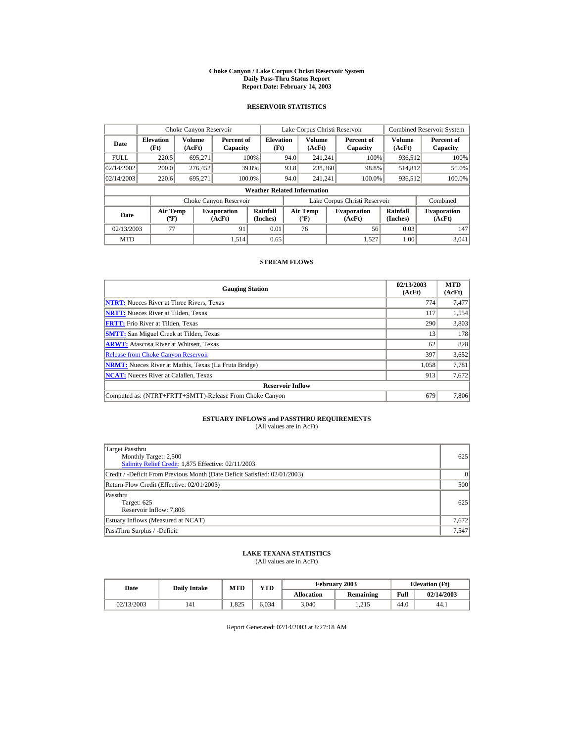#### **Choke Canyon / Lake Corpus Christi Reservoir System Daily Pass-Thru Status Report Report Date: February 14, 2003**

### **RESERVOIR STATISTICS**

| Choke Canyon Reservoir |                                             |                  |                              |                                    |      | Lake Corpus Christi Reservoir           |                               |                      | <b>Combined Reservoir System</b> |
|------------------------|---------------------------------------------|------------------|------------------------------|------------------------------------|------|-----------------------------------------|-------------------------------|----------------------|----------------------------------|
| Date                   | <b>Elevation</b><br>(Ft)                    | Volume<br>(AcFt) | Percent of<br>Capacity       | <b>Elevation</b><br>(Ft)           |      | <b>Volume</b><br>(AcFt)                 | Percent of<br>Capacity        | Volume<br>(AcFt)     | Percent of<br>Capacity           |
| <b>FULL</b>            | 220.5                                       | 695.271          |                              | 100%                               | 94.0 | 241.241                                 | 100%                          | 936,512              | 100%                             |
| 02/14/2002             | 200.0                                       | 276,452          |                              | 39.8%                              | 93.8 | 238,360                                 | 98.8%                         | 514,812              | 55.0%                            |
| 02/14/2003             | 220.6                                       | 695,271          | 100.0%                       |                                    | 94.0 | 241.241                                 | 100.0%                        | 936,512              | 100.0%                           |
|                        |                                             |                  |                              | <b>Weather Related Information</b> |      |                                         |                               |                      |                                  |
|                        |                                             |                  | Choke Canyon Reservoir       |                                    |      |                                         | Lake Corpus Christi Reservoir |                      | Combined                         |
| Date                   | <b>Air Temp</b><br>$({}^{\circ}\mathrm{F})$ |                  | <b>Evaporation</b><br>(AcFt) | Rainfall<br>(Inches)               |      | <b>Air Temp</b><br>$(^{\circ}\text{F})$ | <b>Evaporation</b><br>(AcFt)  | Rainfall<br>(Inches) | <b>Evaporation</b><br>(AcFt)     |
| 02/13/2003             | 77                                          |                  | 91                           | 0.01                               |      | 76                                      | 56                            | 0.03                 | 147                              |
| <b>MTD</b>             |                                             |                  | 1.514                        | 0.65                               |      |                                         | 1.527                         | 1.00                 | 3.041                            |

#### **STREAM FLOWS**

| <b>Gauging Station</b>                                       | 02/13/2003<br>(AcFt) | <b>MTD</b><br>(AcFt) |
|--------------------------------------------------------------|----------------------|----------------------|
| <b>NTRT:</b> Nueces River at Three Rivers, Texas             | 774                  | 7,477                |
| <b>NRTT:</b> Nueces River at Tilden, Texas                   | 117                  | 1,554                |
| <b>FRTT:</b> Frio River at Tilden, Texas                     | 290                  | 3,803                |
| <b>SMTT:</b> San Miguel Creek at Tilden, Texas               | 13                   | 178                  |
| <b>ARWT:</b> Atascosa River at Whitsett, Texas               | 62                   | 828                  |
| <b>Release from Choke Canyon Reservoir</b>                   | 397                  | 3,652                |
| <b>NRMT:</b> Nueces River at Mathis, Texas (La Fruta Bridge) | 1.058                | 7,781                |
| <b>NCAT:</b> Nueces River at Calallen, Texas                 | 913                  | 7,672                |
| <b>Reservoir Inflow</b>                                      |                      |                      |
| Computed as: (NTRT+FRTT+SMTT)-Release From Choke Canyon      | 679                  | 7,806                |

# **ESTUARY INFLOWS and PASSTHRU REQUIREMENTS**<br>(All values are in AcFt)

| Target Passthru<br>Monthly Target: 2,500<br>Salinity Relief Credit: 1,875 Effective: 02/11/2003 | 625      |
|-------------------------------------------------------------------------------------------------|----------|
| Credit / -Deficit From Previous Month (Date Deficit Satisfied: 02/01/2003)                      | $\Omega$ |
| Return Flow Credit (Effective: 02/01/2003)                                                      | 500      |
| Passthru<br>Target: 625<br>Reservoir Inflow: 7,806                                              | 625      |
| Estuary Inflows (Measured at NCAT)                                                              | 7,672    |
| PassThru Surplus / -Deficit:                                                                    | 7,547    |

## **LAKE TEXANA STATISTICS**

(All values are in AcFt)

| Date       | <b>MTD</b><br><b>Daily Intake</b> |      | VTD   |                   | February 2003 | <b>Elevation</b> (Ft) |            |
|------------|-----------------------------------|------|-------|-------------------|---------------|-----------------------|------------|
|            |                                   |      |       | <b>Allocation</b> | Remaining     | Full                  | 02/14/2003 |
| 02/13/2003 | 141                               | .825 | 6.034 | 3,040             | 1.215         | 44.0                  | 44.1       |

Report Generated: 02/14/2003 at 8:27:18 AM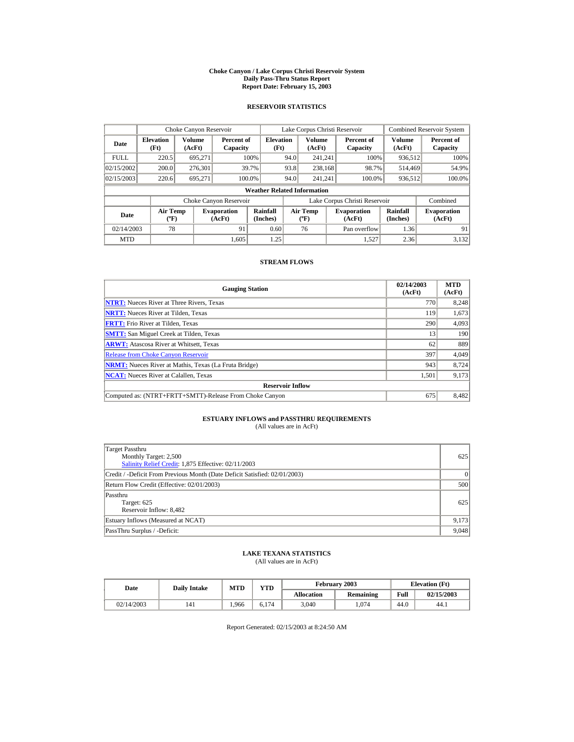#### **Choke Canyon / Lake Corpus Christi Reservoir System Daily Pass-Thru Status Report Report Date: February 15, 2003**

### **RESERVOIR STATISTICS**

| Choke Canyon Reservoir |                                              |         |                              |                                    |      | Lake Corpus Christi Reservoir    |                               |                         | <b>Combined Reservoir System</b> |
|------------------------|----------------------------------------------|---------|------------------------------|------------------------------------|------|----------------------------------|-------------------------------|-------------------------|----------------------------------|
| Date                   | Volume<br><b>Elevation</b><br>(Ft)<br>(AcFt) |         | Percent of<br>Capacity       | <b>Elevation</b><br>(Ft)           |      | <b>Volume</b><br>(AcFt)          | Percent of<br>Capacity        | <b>Volume</b><br>(AcFt) | Percent of<br>Capacity           |
| <b>FULL</b>            | 220.5                                        | 695.271 |                              | 100%                               | 94.0 | 241.241                          | 100%                          | 936,512                 | 100%                             |
| 02/15/2002             | 200.0                                        | 276,301 |                              | 39.7%                              | 93.8 | 238,168                          | 98.7%                         | 514.469                 | 54.9%                            |
| 02/15/2003             | 220.6                                        | 695.271 | 100.0%                       |                                    | 94.0 | 241.241                          | 100.0%                        | 936,512                 | 100.0%                           |
|                        |                                              |         |                              | <b>Weather Related Information</b> |      |                                  |                               |                         |                                  |
|                        |                                              |         | Choke Canyon Reservoir       |                                    |      |                                  | Lake Corpus Christi Reservoir |                         | Combined                         |
| Date                   | <b>Air Temp</b><br>$({}^{\circ}\mathrm{F})$  |         | <b>Evaporation</b><br>(AcFt) | Rainfall<br>(Inches)               |      | <b>Air Temp</b><br>$(^{\circ}F)$ | <b>Evaporation</b><br>(AcFt)  | Rainfall<br>(Inches)    | <b>Evaporation</b><br>(AcFt)     |
| 02/14/2003             | 78                                           |         | 91                           | 0.60                               |      | 76                               | Pan overflow                  | 1.36                    | 91                               |
| <b>MTD</b>             |                                              |         | 1.605                        | 1.25                               |      |                                  | 1.527                         | 2.36                    | 3.132                            |

#### **STREAM FLOWS**

| <b>Gauging Station</b>                                       | 02/14/2003<br>(AcFt) | <b>MTD</b><br>(AcFt) |
|--------------------------------------------------------------|----------------------|----------------------|
| <b>NTRT:</b> Nueces River at Three Rivers, Texas             | 770                  | 8,248                |
| <b>NRTT:</b> Nueces River at Tilden, Texas                   | 119                  | 1,673                |
| <b>FRTT:</b> Frio River at Tilden, Texas                     | 290                  | 4,093                |
| <b>SMTT:</b> San Miguel Creek at Tilden, Texas               | 13                   | 190                  |
| <b>ARWT:</b> Atascosa River at Whitsett, Texas               | 62                   | 889                  |
| <b>Release from Choke Canyon Reservoir</b>                   | 397                  | 4,049                |
| <b>NRMT:</b> Nueces River at Mathis, Texas (La Fruta Bridge) | 943                  | 8.724                |
| <b>NCAT:</b> Nueces River at Calallen. Texas                 | 1,501                | 9,173                |
| <b>Reservoir Inflow</b>                                      |                      |                      |
| Computed as: (NTRT+FRTT+SMTT)-Release From Choke Canyon      | 675                  | 8,482                |

# **ESTUARY INFLOWS and PASSTHRU REQUIREMENTS**<br>(All values are in AcFt)

| Target Passthru<br>Monthly Target: 2,500<br>Salinity Relief Credit: 1,875 Effective: 02/11/2003 | 625      |
|-------------------------------------------------------------------------------------------------|----------|
| Credit / -Deficit From Previous Month (Date Deficit Satisfied: 02/01/2003)                      | $\Omega$ |
| Return Flow Credit (Effective: 02/01/2003)                                                      | 500      |
| Passthru<br>Target: 625<br>Reservoir Inflow: 8,482                                              | 625      |
| Estuary Inflows (Measured at NCAT)                                                              | 9,173    |
| PassThru Surplus / -Deficit:                                                                    | 9,048    |

## **LAKE TEXANA STATISTICS**

(All values are in AcFt)

| Date       | VTD<br><b>MTD</b><br><b>Daily Intake</b> |      |       |                   | February 2003 | <b>Elevation</b> (Ft) |            |  |
|------------|------------------------------------------|------|-------|-------------------|---------------|-----------------------|------------|--|
|            |                                          |      |       | <b>Allocation</b> | Remaining     | Full                  | 02/15/2003 |  |
| 02/14/2003 | 141                                      | .966 | 6.174 | 3,040             | .074          | 44.0                  | 44.1       |  |

Report Generated: 02/15/2003 at 8:24:50 AM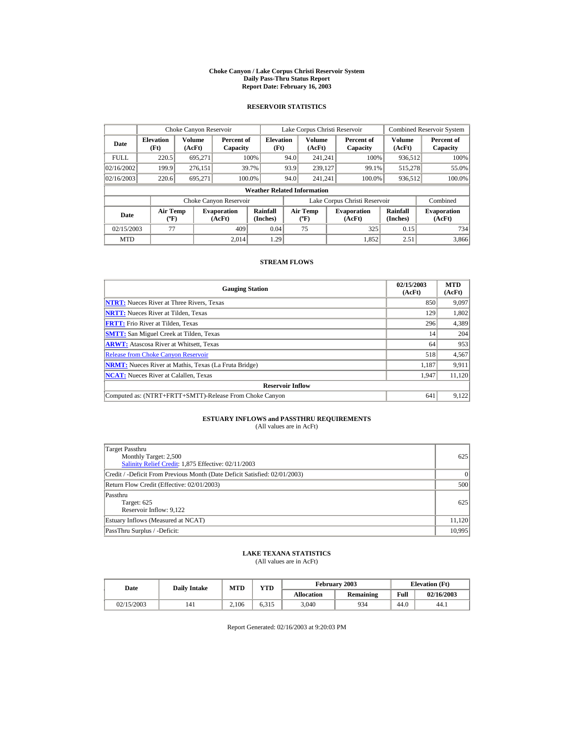#### **Choke Canyon / Lake Corpus Christi Reservoir System Daily Pass-Thru Status Report Report Date: February 16, 2003**

### **RESERVOIR STATISTICS**

|                                                                                     | Choke Canyon Reservoir |                  |                        |                                    |      | Lake Corpus Christi Reservoir               |                               |                      | <b>Combined Reservoir System</b> |
|-------------------------------------------------------------------------------------|------------------------|------------------|------------------------|------------------------------------|------|---------------------------------------------|-------------------------------|----------------------|----------------------------------|
| <b>Elevation</b><br>Date<br>(Ft)                                                    |                        | Volume<br>(AcFt) | Percent of<br>Capacity | <b>Elevation</b><br>(Ft)           |      | Volume<br>(AcFt)                            | Percent of<br>Capacity        | Volume<br>(AcFt)     | Percent of<br>Capacity           |
| <b>FULL</b>                                                                         | 220.5                  | 695.271          |                        | 100%                               | 94.0 | 241.241                                     | 100%                          | 936,512              | 100%                             |
| 02/16/2002                                                                          | 199.9                  | 276,151          |                        | 39.7%                              | 93.9 | 239,127                                     | 99.1%                         | 515,278              | 55.0%                            |
| 02/16/2003                                                                          | 220.6                  | 695.271          | 100.0%                 |                                    | 94.0 | 241.241                                     | 100.0%                        | 936,512              | 100.0%                           |
|                                                                                     |                        |                  |                        | <b>Weather Related Information</b> |      |                                             |                               |                      |                                  |
|                                                                                     |                        |                  | Choke Canyon Reservoir |                                    |      |                                             | Lake Corpus Christi Reservoir |                      | Combined                         |
| <b>Air Temp</b><br><b>Evaporation</b><br>Date<br>$({}^{\circ}\mathrm{F})$<br>(AcFt) |                        |                  |                        | Rainfall<br>(Inches)               |      | <b>Air Temp</b><br>$({}^{\circ}\mathbf{F})$ | <b>Evaporation</b><br>(AcFt)  | Rainfall<br>(Inches) | <b>Evaporation</b><br>(AcFt)     |
| 02/15/2003                                                                          | 77                     |                  | 409                    | 0.04                               |      | 75                                          | 325                           | 0.15                 | 734                              |
| <b>MTD</b>                                                                          |                        |                  | 2.014                  | 1.29                               |      |                                             | 1.852                         | 2.51                 | 3,866                            |

#### **STREAM FLOWS**

| <b>Gauging Station</b>                                       | 02/15/2003<br>(AcFt) | <b>MTD</b><br>(AcFt) |
|--------------------------------------------------------------|----------------------|----------------------|
| <b>NTRT:</b> Nueces River at Three Rivers, Texas             | 850                  | 9,097                |
| <b>NRTT:</b> Nueces River at Tilden, Texas                   | 129                  | 1,802                |
| <b>FRTT:</b> Frio River at Tilden, Texas                     | 296                  | 4,389                |
| <b>SMTT:</b> San Miguel Creek at Tilden, Texas               | 14                   | 204                  |
| <b>ARWT:</b> Atascosa River at Whitsett, Texas               | 64                   | 953                  |
| <b>Release from Choke Canyon Reservoir</b>                   | 518                  | 4,567                |
| <b>NRMT:</b> Nueces River at Mathis, Texas (La Fruta Bridge) | 1.187                | 9,911                |
| <b>NCAT:</b> Nueces River at Calallen, Texas                 | 1,947                | 11,120               |
| <b>Reservoir Inflow</b>                                      |                      |                      |
| Computed as: (NTRT+FRTT+SMTT)-Release From Choke Canyon      | 641                  | 9,122                |

# **ESTUARY INFLOWS and PASSTHRU REQUIREMENTS**<br>(All values are in AcFt)

| Target Passthru<br>Monthly Target: 2,500<br>Salinity Relief Credit: 1,875 Effective: 02/11/2003 | 625      |
|-------------------------------------------------------------------------------------------------|----------|
| Credit / -Deficit From Previous Month (Date Deficit Satisfied: 02/01/2003)                      | $\Omega$ |
| Return Flow Credit (Effective: 02/01/2003)                                                      | 500      |
| Passthru<br>Target: 625<br>Reservoir Inflow: 9,122                                              | 625      |
| Estuary Inflows (Measured at NCAT)                                                              | 11.120   |
| PassThru Surplus / -Deficit:                                                                    | 10,995   |

## **LAKE TEXANA STATISTICS**

(All values are in AcFt)

| Date       | <b>Daily Intake</b> | <b>MTD</b> | VTD   |                   | February 2003 |      | <b>Elevation</b> (Ft) |  |
|------------|---------------------|------------|-------|-------------------|---------------|------|-----------------------|--|
|            |                     |            |       | <b>Allocation</b> | Remaining     | Full | 02/16/2003            |  |
| 02/15/2003 | 141                 | 2.106      | 6.315 | 3,040             | 934           | 44.0 | 44.1                  |  |

Report Generated: 02/16/2003 at 9:20:03 PM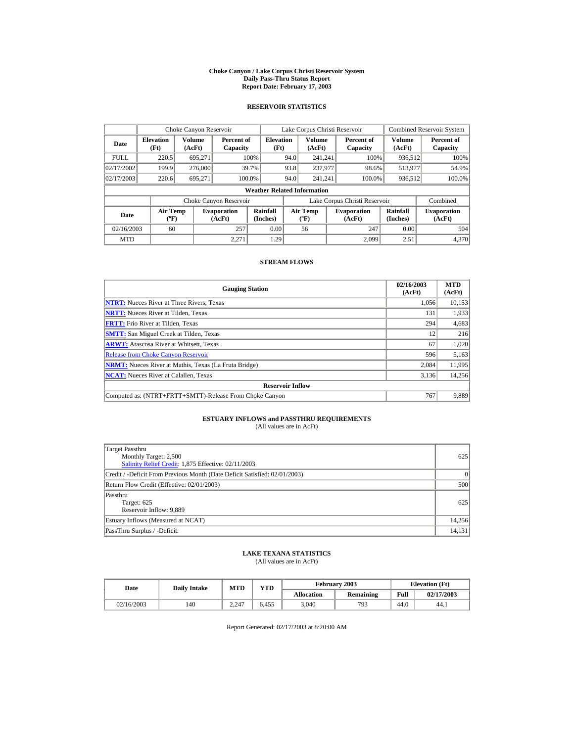#### **Choke Canyon / Lake Corpus Christi Reservoir System Daily Pass-Thru Status Report Report Date: February 17, 2003**

### **RESERVOIR STATISTICS**

|                                                                                     | Choke Canyon Reservoir |                  |                        |                                    |      | Lake Corpus Christi Reservoir               |                               |                      | <b>Combined Reservoir System</b> |
|-------------------------------------------------------------------------------------|------------------------|------------------|------------------------|------------------------------------|------|---------------------------------------------|-------------------------------|----------------------|----------------------------------|
| <b>Elevation</b><br>Date<br>(Ft)                                                    |                        | Volume<br>(AcFt) | Percent of<br>Capacity | <b>Elevation</b><br>(Ft)           |      | Volume<br>(AcFt)                            | Percent of<br>Capacity        | Volume<br>(AcFt)     | Percent of<br>Capacity           |
| <b>FULL</b>                                                                         | 220.5                  | 695.271          |                        | 100%                               | 94.0 | 241.241                                     | 100%                          | 936,512              | 100%                             |
| 02/17/2002                                                                          | 199.9                  | 276,000          |                        | 39.7%                              | 93.8 | 237,977                                     | 98.6%                         | 513,977              | 54.9%                            |
| 02/17/2003                                                                          | 220.6                  | 695.271          | 100.0%                 |                                    | 94.0 | 241.241                                     | 100.0%                        | 936,512              | 100.0%                           |
|                                                                                     |                        |                  |                        | <b>Weather Related Information</b> |      |                                             |                               |                      |                                  |
|                                                                                     |                        |                  | Choke Canyon Reservoir |                                    |      |                                             | Lake Corpus Christi Reservoir |                      | Combined                         |
| <b>Air Temp</b><br><b>Evaporation</b><br>Date<br>$({}^{\circ}\mathrm{F})$<br>(AcFt) |                        |                  |                        | Rainfall<br>(Inches)               |      | <b>Air Temp</b><br>$({}^{\circ}\mathbf{F})$ | <b>Evaporation</b><br>(AcFt)  | Rainfall<br>(Inches) | <b>Evaporation</b><br>(AcFt)     |
| 02/16/2003                                                                          | 60                     |                  | 257                    | 0.00                               |      | 56                                          | 247                           | 0.00                 | 504                              |
| <b>MTD</b>                                                                          |                        |                  | 2.271                  | 1.29                               |      |                                             | 2.099                         | 2.51                 | 4,370                            |

#### **STREAM FLOWS**

| <b>Gauging Station</b>                                       | 02/16/2003<br>(AcFt) | <b>MTD</b><br>(AcFt) |
|--------------------------------------------------------------|----------------------|----------------------|
| <b>NTRT:</b> Nueces River at Three Rivers, Texas             | 1.056                | 10,153               |
| <b>NRTT:</b> Nueces River at Tilden, Texas                   | 131                  | 1,933                |
| <b>FRTT:</b> Frio River at Tilden, Texas                     | 294                  | 4,683                |
| <b>SMTT:</b> San Miguel Creek at Tilden, Texas               | 12                   | 216                  |
| <b>ARWT:</b> Atascosa River at Whitsett, Texas               | 67                   | 1,020                |
| <b>Release from Choke Canyon Reservoir</b>                   | 596                  | 5,163                |
| <b>NRMT:</b> Nueces River at Mathis, Texas (La Fruta Bridge) | 2.084                | 11.995               |
| <b>NCAT:</b> Nueces River at Calallen, Texas                 | 3,136                | 14,256               |
| <b>Reservoir Inflow</b>                                      |                      |                      |
| Computed as: (NTRT+FRTT+SMTT)-Release From Choke Canyon      | 767                  | 9,889                |

# **ESTUARY INFLOWS and PASSTHRU REQUIREMENTS**<br>(All values are in AcFt)

| Target Passthru<br>Monthly Target: 2,500<br>Salinity Relief Credit: 1,875 Effective: 02/11/2003 | 625      |
|-------------------------------------------------------------------------------------------------|----------|
| Credit / -Deficit From Previous Month (Date Deficit Satisfied: 02/01/2003)                      | $\Omega$ |
| Return Flow Credit (Effective: 02/01/2003)                                                      | 500      |
| Passthru<br>Target: 625<br>Reservoir Inflow: 9,889                                              | 625      |
| Estuary Inflows (Measured at NCAT)                                                              | 14,256   |
| PassThru Surplus / -Deficit:                                                                    | 14,131   |

## **LAKE TEXANA STATISTICS**

(All values are in AcFt)

| Date       | <b>Daily Intake</b> | <b>MTD</b> | $\mathbf{v}\mathbf{T}\mathbf{D}$ |                   | February 2003 |      | <b>Elevation (Ft)</b> |  |
|------------|---------------------|------------|----------------------------------|-------------------|---------------|------|-----------------------|--|
|            |                     |            |                                  | <b>Allocation</b> | Remaining     | Full | 02/17/2003            |  |
| 02/16/2003 | 140                 | 2.247      | 6.455                            | 3,040             | 793           | 44.0 | 44.1                  |  |

Report Generated: 02/17/2003 at 8:20:00 AM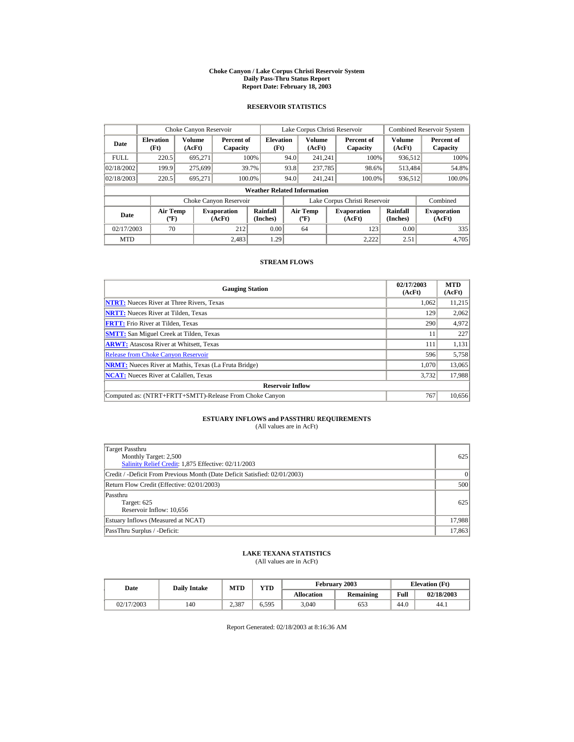#### **Choke Canyon / Lake Corpus Christi Reservoir System Daily Pass-Thru Status Report Report Date: February 18, 2003**

### **RESERVOIR STATISTICS**

|                                                                                     | Choke Canyon Reservoir |                  |                        |                                    |      | Lake Corpus Christi Reservoir               |                               |                      | <b>Combined Reservoir System</b> |
|-------------------------------------------------------------------------------------|------------------------|------------------|------------------------|------------------------------------|------|---------------------------------------------|-------------------------------|----------------------|----------------------------------|
| <b>Elevation</b><br>Date<br>(Ft)                                                    |                        | Volume<br>(AcFt) | Percent of<br>Capacity | <b>Elevation</b><br>(Ft)           |      | Volume<br>(AcFt)                            | Percent of<br>Capacity        | Volume<br>(AcFt)     | Percent of<br>Capacity           |
| <b>FULL</b>                                                                         | 220.5                  | 695.271          |                        | 100%                               | 94.0 | 241.241                                     | 100%                          | 936,512              | 100%                             |
| 02/18/2002                                                                          | 199.9                  | 275,699          |                        | 39.7%                              | 93.8 | 237,785                                     | 98.6%                         | 513,484              | 54.8%                            |
| 02/18/2003                                                                          | 220.5                  | 695.271          |                        | 100.0%                             | 94.0 | 241.241                                     | 100.0%                        | 936,512              | 100.0%                           |
|                                                                                     |                        |                  |                        | <b>Weather Related Information</b> |      |                                             |                               |                      |                                  |
|                                                                                     |                        |                  | Choke Canyon Reservoir |                                    |      |                                             | Lake Corpus Christi Reservoir |                      | Combined                         |
| <b>Air Temp</b><br><b>Evaporation</b><br>Date<br>$({}^{\circ}\mathrm{F})$<br>(AcFt) |                        |                  |                        | Rainfall<br>(Inches)               |      | <b>Air Temp</b><br>$({}^{\circ}\mathbf{F})$ | <b>Evaporation</b><br>(AcFt)  | Rainfall<br>(Inches) | <b>Evaporation</b><br>(AcFt)     |
| 02/17/2003                                                                          | 70                     |                  | 212                    | 0.00                               |      | 64                                          | 123                           | 0.00                 | 335                              |
| <b>MTD</b>                                                                          |                        |                  | 2.483                  | 1.29                               |      |                                             | 2.222                         | 2.51                 | 4,705                            |

#### **STREAM FLOWS**

| <b>Gauging Station</b>                                       | 02/17/2003<br>(AcFt) | <b>MTD</b><br>(AcFt) |
|--------------------------------------------------------------|----------------------|----------------------|
| <b>NTRT:</b> Nueces River at Three Rivers, Texas             | 1,062                | 11,215               |
| <b>NRTT:</b> Nueces River at Tilden, Texas                   | 129                  | 2,062                |
| <b>FRTT:</b> Frio River at Tilden, Texas                     | 290                  | 4,972                |
| <b>SMTT:</b> San Miguel Creek at Tilden, Texas               | 11                   | 227                  |
| <b>ARWT:</b> Atascosa River at Whitsett, Texas               | 111                  | 1,131                |
| <b>Release from Choke Canvon Reservoir</b>                   | 596                  | 5,758                |
| <b>NRMT:</b> Nueces River at Mathis, Texas (La Fruta Bridge) | 1.070                | 13,065               |
| <b>NCAT:</b> Nueces River at Calallen, Texas                 | 3,732                | 17,988               |
| <b>Reservoir Inflow</b>                                      |                      |                      |
| Computed as: (NTRT+FRTT+SMTT)-Release From Choke Canyon      | 767                  | 10,656               |

# **ESTUARY INFLOWS and PASSTHRU REQUIREMENTS**<br>(All values are in AcFt)

| Target Passthru<br>Monthly Target: 2,500<br>Salinity Relief Credit: 1,875 Effective: 02/11/2003 | 625      |
|-------------------------------------------------------------------------------------------------|----------|
| Credit / -Deficit From Previous Month (Date Deficit Satisfied: 02/01/2003)                      | $\Omega$ |
| Return Flow Credit (Effective: 02/01/2003)                                                      | 500      |
| Passthru<br>Target: 625<br>Reservoir Inflow: 10,656                                             | 625      |
| Estuary Inflows (Measured at NCAT)                                                              | 17,988   |
| PassThru Surplus / -Deficit:                                                                    | 17,863   |

## **LAKE TEXANA STATISTICS**

(All values are in AcFt)

| Date       | <b>Daily Intake</b> | <b>MTD</b> | VTD   |                   | February 2003 |      | <b>Elevation</b> (Ft) |  |  |
|------------|---------------------|------------|-------|-------------------|---------------|------|-----------------------|--|--|
|            |                     |            |       | <b>Allocation</b> | Remaining     | Full | 02/18/2003            |  |  |
| 02/17/2003 | 140                 | 2.387      | 6.595 | 3,040             | 653           | 44.0 | 44.1                  |  |  |

Report Generated: 02/18/2003 at 8:16:36 AM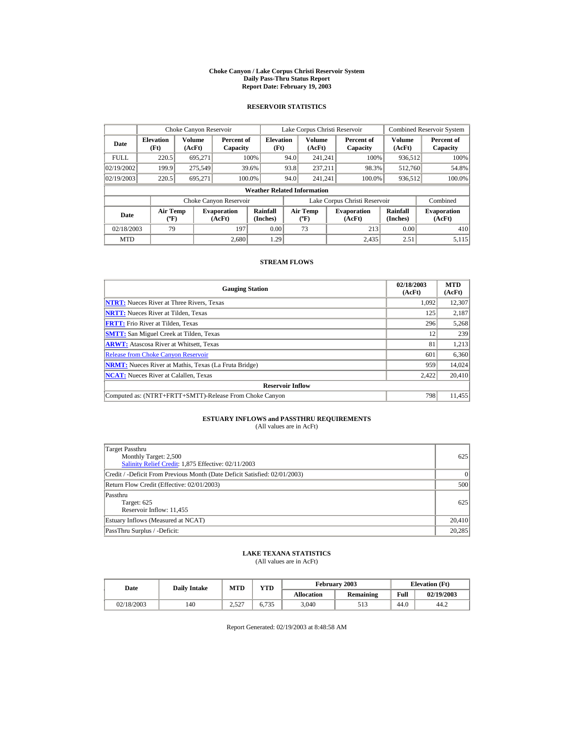#### **Choke Canyon / Lake Corpus Christi Reservoir System Daily Pass-Thru Status Report Report Date: February 19, 2003**

### **RESERVOIR STATISTICS**

|                                                     | Choke Canyon Reservoir   |                              |                        |                                    |                                             | Lake Corpus Christi Reservoir |                               |                              | <b>Combined Reservoir System</b> |
|-----------------------------------------------------|--------------------------|------------------------------|------------------------|------------------------------------|---------------------------------------------|-------------------------------|-------------------------------|------------------------------|----------------------------------|
| Date                                                | <b>Elevation</b><br>(Ft) | Volume<br>(AcFt)             | Percent of<br>Capacity | <b>Elevation</b><br>(Ft)           |                                             | Volume<br>(AcFt)              | Percent of<br>Capacity        | Volume<br>(AcFt)             | Percent of<br>Capacity           |
| <b>FULL</b>                                         | 220.5                    | 695.271                      |                        | 100%                               | 94.0                                        | 241.241                       | 100%                          | 936,512                      | 100%                             |
| 02/19/2002                                          | 199.9                    | 275,549                      |                        | 39.6%                              | 93.8                                        | 237.211                       | 98.3%                         | 512,760                      | 54.8%                            |
| 02/19/2003                                          | 220.5                    | 695.271                      | 100.0%                 |                                    | 94.0                                        | 241.241                       | 100.0%                        | 936,512                      | 100.0%                           |
|                                                     |                          |                              |                        | <b>Weather Related Information</b> |                                             |                               |                               |                              |                                  |
|                                                     |                          |                              | Choke Canyon Reservoir |                                    |                                             |                               | Lake Corpus Christi Reservoir |                              | Combined                         |
| <b>Air Temp</b><br>Date<br>$({}^{\circ}\mathrm{F})$ |                          | <b>Evaporation</b><br>(AcFt) | Rainfall<br>(Inches)   |                                    | <b>Air Temp</b><br>$({}^{\circ}\mathbf{F})$ | <b>Evaporation</b><br>(AcFt)  | Rainfall<br>(Inches)          | <b>Evaporation</b><br>(AcFt) |                                  |
| 02/18/2003                                          | 79                       |                              | 197                    | 0.00                               |                                             | 73                            | 213                           | 0.00                         | 410                              |
| <b>MTD</b>                                          |                          |                              | 2,680                  | 1.29                               |                                             |                               | 2.435                         | 2.51                         | 5,115                            |

#### **STREAM FLOWS**

| <b>Gauging Station</b>                                       | 02/18/2003<br>(AcFt) | <b>MTD</b><br>(AcFt) |
|--------------------------------------------------------------|----------------------|----------------------|
| <b>NTRT:</b> Nueces River at Three Rivers, Texas             | 1.092                | 12,307               |
| <b>NRTT:</b> Nueces River at Tilden, Texas                   | 125                  | 2,187                |
| <b>FRTT:</b> Frio River at Tilden, Texas                     | 296                  | 5,268                |
| <b>SMTT:</b> San Miguel Creek at Tilden, Texas               | 12                   | 239                  |
| <b>ARWT:</b> Atascosa River at Whitsett, Texas               | 81                   | 1,213                |
| <b>Release from Choke Canyon Reservoir</b>                   | 601                  | 6,360                |
| <b>NRMT:</b> Nueces River at Mathis, Texas (La Fruta Bridge) | 959                  | 14,024               |
| <b>NCAT:</b> Nueces River at Calallen, Texas                 | 2,422                | 20,410               |
| <b>Reservoir Inflow</b>                                      |                      |                      |
| Computed as: (NTRT+FRTT+SMTT)-Release From Choke Canyon      | 798                  | 11,455               |

# **ESTUARY INFLOWS and PASSTHRU REQUIREMENTS**<br>(All values are in AcFt)

| Target Passthru<br>Monthly Target: 2,500<br>Salinity Relief Credit: 1,875 Effective: 02/11/2003 | 625      |
|-------------------------------------------------------------------------------------------------|----------|
| Credit / -Deficit From Previous Month (Date Deficit Satisfied: 02/01/2003)                      | $\Omega$ |
| Return Flow Credit (Effective: 02/01/2003)                                                      | 500      |
| Passthru<br>Target: 625<br>Reservoir Inflow: 11,455                                             | 625      |
| Estuary Inflows (Measured at NCAT)                                                              | 20,410   |
| PassThru Surplus / -Deficit:                                                                    | 20,285   |

## **LAKE TEXANA STATISTICS**

(All values are in AcFt)

| Date       | <b>Daily Intake</b> | <b>MTD</b> | YTD   | February 2003     |           | <b>Elevation</b> (Ft) |            |
|------------|---------------------|------------|-------|-------------------|-----------|-----------------------|------------|
|            |                     |            |       | <b>Allocation</b> | Remaining | Full                  | 02/19/2003 |
| 02/18/2003 | 140                 | 2.527      | 6.735 | 3,040             | 513       | 44.0                  | 44.2       |

Report Generated: 02/19/2003 at 8:48:58 AM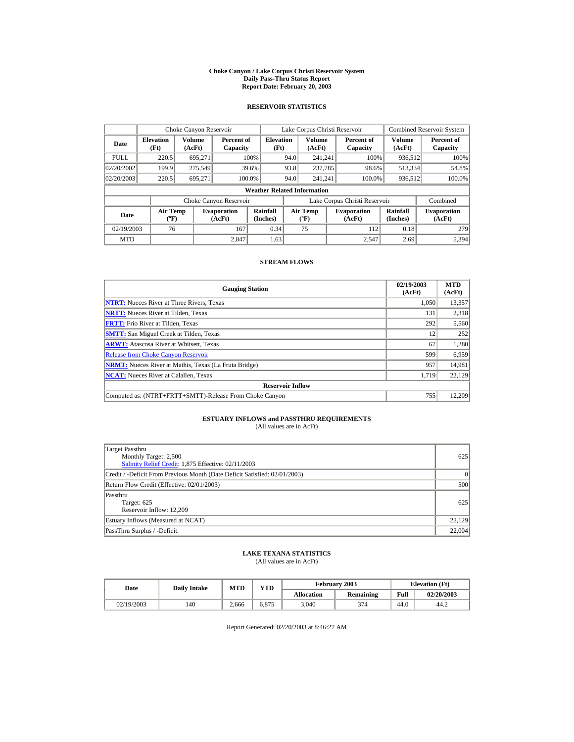#### **Choke Canyon / Lake Corpus Christi Reservoir System Daily Pass-Thru Status Report Report Date: February 20, 2003**

### **RESERVOIR STATISTICS**

|             | Choke Canyon Reservoir                       |         |                              |                                    |                          | Lake Corpus Christi Reservoir               |                  |                               |                      | <b>Combined Reservoir System</b> |
|-------------|----------------------------------------------|---------|------------------------------|------------------------------------|--------------------------|---------------------------------------------|------------------|-------------------------------|----------------------|----------------------------------|
| Date        | Volume<br><b>Elevation</b><br>(Ft)<br>(AcFt) |         | Percent of<br>Capacity       |                                    | <b>Elevation</b><br>(Ft) |                                             | Volume<br>(AcFt) | Percent of<br>Capacity        | Volume<br>(AcFt)     | Percent of<br>Capacity           |
| <b>FULL</b> | 220.5                                        | 695.271 |                              | 100%                               | 94.0                     | 241.241                                     |                  | 100%                          | 936,512              | 100%                             |
| 02/20/2002  | 199.9                                        | 275,549 |                              | 39.6%                              | 93.8                     | 237,785                                     |                  | 98.6%                         | 513,334              | 54.8%                            |
| 02/20/2003  | 220.5                                        | 695.271 | 100.0%                       |                                    | 94.0                     | 241.241                                     |                  | 100.0%                        | 936,512              | 100.0%                           |
|             |                                              |         |                              | <b>Weather Related Information</b> |                          |                                             |                  |                               |                      |                                  |
|             |                                              |         | Choke Canyon Reservoir       |                                    |                          |                                             |                  | Lake Corpus Christi Reservoir |                      | Combined                         |
| Date        | <b>Air Temp</b><br>$({}^{\circ}\mathrm{F})$  |         | <b>Evaporation</b><br>(AcFt) | Rainfall<br>(Inches)               |                          | <b>Air Temp</b><br>$({}^{\circ}\mathbf{F})$ |                  | <b>Evaporation</b><br>(AcFt)  | Rainfall<br>(Inches) | <b>Evaporation</b><br>(AcFt)     |
| 02/19/2003  | 76                                           |         | 167                          | 0.34                               |                          | 75                                          |                  | 112                           | 0.18                 | 279                              |
| <b>MTD</b>  |                                              |         | 2.847                        | 1.63                               |                          |                                             |                  | 2.547                         | 2.69                 | 5,394                            |

#### **STREAM FLOWS**

| <b>Gauging Station</b>                                       | 02/19/2003<br>(AcFt) | <b>MTD</b><br>(AcFt) |
|--------------------------------------------------------------|----------------------|----------------------|
| <b>NTRT:</b> Nueces River at Three Rivers, Texas             | 1.050                | 13,357               |
| <b>NRTT:</b> Nueces River at Tilden, Texas                   | 131                  | 2,318                |
| <b>FRTT:</b> Frio River at Tilden, Texas                     | 292                  | 5,560                |
| <b>SMTT:</b> San Miguel Creek at Tilden, Texas               | 12                   | 252                  |
| <b>ARWT:</b> Atascosa River at Whitsett, Texas               | 67                   | 1,280                |
| <b>Release from Choke Canyon Reservoir</b>                   | 599                  | 6,959                |
| <b>NRMT:</b> Nueces River at Mathis, Texas (La Fruta Bridge) | 957                  | 14,981               |
| <b>NCAT:</b> Nueces River at Calallen, Texas                 | 1,719                | 22.129               |
| <b>Reservoir Inflow</b>                                      |                      |                      |
| Computed as: (NTRT+FRTT+SMTT)-Release From Choke Canyon      | 755                  | 12,209               |

# **ESTUARY INFLOWS and PASSTHRU REQUIREMENTS**<br>(All values are in AcFt)

| Target Passthru<br>Monthly Target: 2,500<br>Salinity Relief Credit: 1,875 Effective: 02/11/2003 | 625      |
|-------------------------------------------------------------------------------------------------|----------|
| Credit / -Deficit From Previous Month (Date Deficit Satisfied: 02/01/2003)                      | $\Omega$ |
| Return Flow Credit (Effective: 02/01/2003)                                                      | 500      |
| Passthru<br>Target: 625<br>Reservoir Inflow: 12,209                                             | 625      |
| Estuary Inflows (Measured at NCAT)                                                              | 22.129   |
| PassThru Surplus / -Deficit:                                                                    | 22,004   |

## **LAKE TEXANA STATISTICS**

(All values are in AcFt)

| Date       | <b>Daily Intake</b> | <b>MTD</b> | VTD   |                   | February 2003 |      | <b>Elevation</b> (Ft) |
|------------|---------------------|------------|-------|-------------------|---------------|------|-----------------------|
|            |                     |            |       | <b>Allocation</b> | Remaining     | Full | 02/20/2003            |
| 02/19/2003 | 140                 | 2.666      | 6.875 | 3,040             | 374           | 44.0 | 44.2                  |

Report Generated: 02/20/2003 at 8:46:27 AM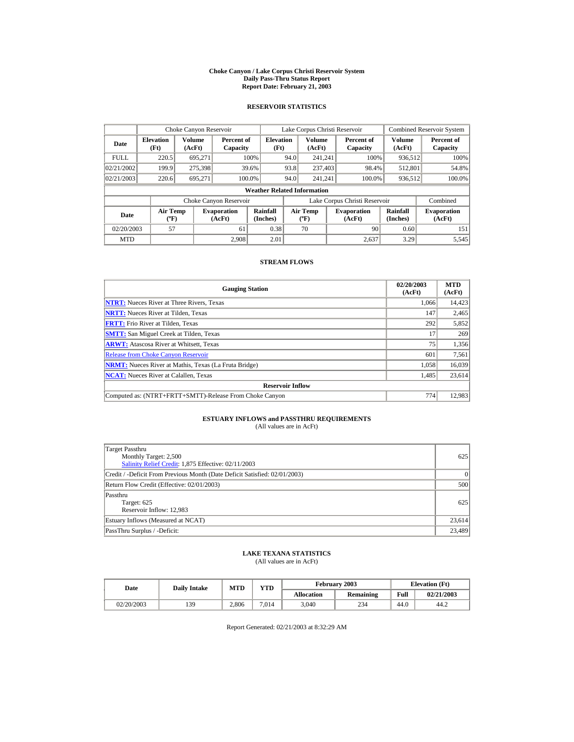#### **Choke Canyon / Lake Corpus Christi Reservoir System Daily Pass-Thru Status Report Report Date: February 21, 2003**

### **RESERVOIR STATISTICS**

|             | Choke Canyon Reservoir                      |                  |                              |                                    |                               | Lake Corpus Christi Reservoir               |  |                              |                      | <b>Combined Reservoir System</b> |
|-------------|---------------------------------------------|------------------|------------------------------|------------------------------------|-------------------------------|---------------------------------------------|--|------------------------------|----------------------|----------------------------------|
| Date        | <b>Elevation</b><br>(Ft)                    | Volume<br>(AcFt) | Percent of<br>Capacity       | <b>Elevation</b><br>(Ft)           |                               | Volume<br>(AcFt)                            |  | Percent of<br>Capacity       | Volume<br>(AcFt)     | Percent of<br>Capacity           |
| <b>FULL</b> | 220.5                                       | 695.271          |                              | 100%                               | 94.0                          | 241.241                                     |  | 100%                         | 936,512              | 100%                             |
| 02/21/2002  | 199.9                                       | 275,398          |                              | 39.6%                              | 93.8                          | 237,403                                     |  | 98.4%                        | 512,801              | 54.8%                            |
| 02/21/2003  | 220.6                                       | 695.271          |                              | 100.0%                             | 94.0                          | 241.241                                     |  | 100.0%                       | 936,512              | 100.0%                           |
|             |                                             |                  |                              | <b>Weather Related Information</b> |                               |                                             |  |                              |                      |                                  |
|             |                                             |                  | Choke Canyon Reservoir       |                                    | Lake Corpus Christi Reservoir |                                             |  |                              | Combined             |                                  |
| Date        | <b>Air Temp</b><br>$({}^{\circ}\mathrm{F})$ |                  | <b>Evaporation</b><br>(AcFt) | Rainfall<br>(Inches)               |                               | <b>Air Temp</b><br>$({}^{\circ}\mathbf{F})$ |  | <b>Evaporation</b><br>(AcFt) | Rainfall<br>(Inches) | <b>Evaporation</b><br>(AcFt)     |
| 02/20/2003  | 57                                          |                  | 61                           | 0.38                               |                               | 70                                          |  | 90                           | 0.60                 | 151                              |
| <b>MTD</b>  |                                             |                  | 2.908                        | 2.01                               |                               |                                             |  | 2.637                        | 3.29                 | 5,545                            |

#### **STREAM FLOWS**

| <b>Gauging Station</b>                                       | 02/20/2003<br>(AcFt) | <b>MTD</b><br>(AcFt) |
|--------------------------------------------------------------|----------------------|----------------------|
| <b>NTRT:</b> Nueces River at Three Rivers, Texas             | 1.066                | 14,423               |
| <b>NRTT:</b> Nueces River at Tilden, Texas                   | 147                  | 2,465                |
| <b>FRTT:</b> Frio River at Tilden, Texas                     | 292                  | 5,852                |
| <b>SMTT:</b> San Miguel Creek at Tilden, Texas               | 17                   | 269                  |
| <b>ARWT:</b> Atascosa River at Whitsett, Texas               | 75                   | 1,356                |
| <b>Release from Choke Canyon Reservoir</b>                   | 601                  | 7,561                |
| <b>NRMT:</b> Nueces River at Mathis, Texas (La Fruta Bridge) | 1.058                | 16,039               |
| <b>NCAT:</b> Nueces River at Calallen, Texas                 | 1,485                | 23,614               |
| <b>Reservoir Inflow</b>                                      |                      |                      |
| Computed as: (NTRT+FRTT+SMTT)-Release From Choke Canyon      | 774                  | 12,983               |

# **ESTUARY INFLOWS and PASSTHRU REQUIREMENTS**<br>(All values are in AcFt)

| Target Passthru<br>Monthly Target: 2,500<br>Salinity Relief Credit: 1,875 Effective: 02/11/2003 | 625      |
|-------------------------------------------------------------------------------------------------|----------|
| Credit / -Deficit From Previous Month (Date Deficit Satisfied: 02/01/2003)                      | $\Omega$ |
| Return Flow Credit (Effective: 02/01/2003)                                                      | 500      |
| Passthru<br>Target: 625<br>Reservoir Inflow: 12,983                                             | 625      |
| Estuary Inflows (Measured at NCAT)                                                              | 23,614   |
| PassThru Surplus / -Deficit:                                                                    | 23,489   |

## **LAKE TEXANA STATISTICS**

(All values are in AcFt)

| Date       | <b>Daily Intake</b> | $\mathbf{v}\mathbf{T}\mathbf{D}$<br><b>MTD</b> |       |                   | February 2003 | <b>Elevation</b> (Ft) |            |  |
|------------|---------------------|------------------------------------------------|-------|-------------------|---------------|-----------------------|------------|--|
|            |                     |                                                |       | <b>Allocation</b> | Remaining     | Full                  | 02/21/2003 |  |
| 02/20/2003 | 139                 | 2.806                                          | 7.014 | 3,040             | 234           | 44.0                  | 44.2       |  |

Report Generated: 02/21/2003 at 8:32:29 AM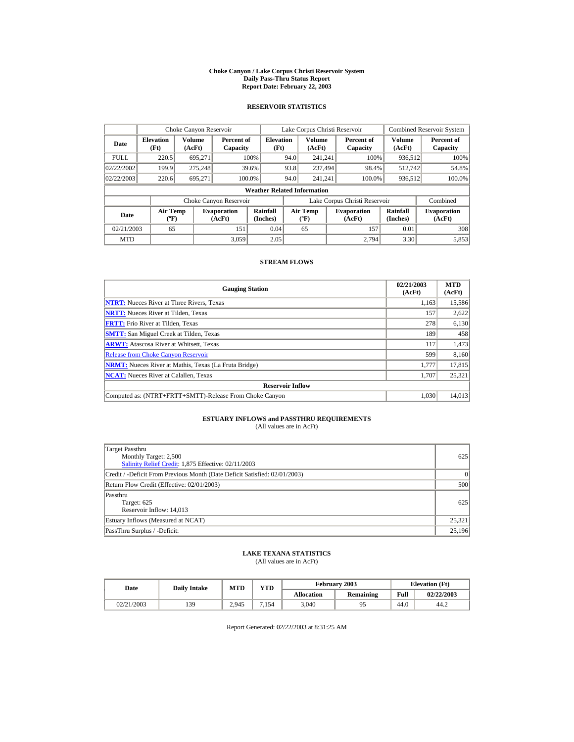#### **Choke Canyon / Lake Corpus Christi Reservoir System Daily Pass-Thru Status Report Report Date: February 22, 2003**

### **RESERVOIR STATISTICS**

|             | Choke Canyon Reservoir                      |                  |                              |                          | Lake Corpus Christi Reservoir               |                  |  |                               |                      | <b>Combined Reservoir System</b> |  |  |
|-------------|---------------------------------------------|------------------|------------------------------|--------------------------|---------------------------------------------|------------------|--|-------------------------------|----------------------|----------------------------------|--|--|
| Date        | <b>Elevation</b><br>(Ft)                    | Volume<br>(AcFt) | Percent of<br>Capacity       | <b>Elevation</b><br>(Ft) |                                             | Volume<br>(AcFt) |  | Percent of<br>Capacity        | Volume<br>(AcFt)     | Percent of<br>Capacity           |  |  |
| <b>FULL</b> | 220.5                                       | 695.271          |                              | 100%                     | 94.0                                        | 241.241          |  | 100%                          | 936,512              | 100%                             |  |  |
| 02/22/2002  | 199.9                                       | 275,248          |                              | 39.6%                    | 93.8                                        | 237,494          |  | 98.4%                         | 512.742              | 54.8%                            |  |  |
| 02/22/2003  | 220.6                                       | 695.271          |                              | 100.0%                   | 94.0                                        | 241.241          |  | 100.0%                        | 936,512              | 100.0%                           |  |  |
|             | <b>Weather Related Information</b>          |                  |                              |                          |                                             |                  |  |                               |                      |                                  |  |  |
|             |                                             |                  | Choke Canyon Reservoir       |                          |                                             |                  |  | Lake Corpus Christi Reservoir |                      | Combined                         |  |  |
| Date        | <b>Air Temp</b><br>$({}^{\circ}\mathrm{F})$ |                  | <b>Evaporation</b><br>(AcFt) | Rainfall<br>(Inches)     | <b>Air Temp</b><br>$({}^{\circ}\mathbf{F})$ |                  |  | <b>Evaporation</b><br>(AcFt)  | Rainfall<br>(Inches) | <b>Evaporation</b><br>(AcFt)     |  |  |
| 02/21/2003  | 65                                          |                  | 151                          | 0.04                     |                                             | 65               |  | 157                           | 0.01                 | 308                              |  |  |
| <b>MTD</b>  |                                             |                  | 3.059                        | 2.05                     |                                             |                  |  | 2.794                         | 3.30                 | 5,853                            |  |  |

#### **STREAM FLOWS**

| <b>Gauging Station</b>                                       | 02/21/2003<br>(AcFt) | <b>MTD</b><br>(AcFt) |
|--------------------------------------------------------------|----------------------|----------------------|
| <b>NTRT:</b> Nueces River at Three Rivers, Texas             | 1,163                | 15,586               |
| <b>NRTT:</b> Nueces River at Tilden, Texas                   | 157                  | 2,622                |
| <b>FRTT:</b> Frio River at Tilden, Texas                     | 278                  | 6,130                |
| <b>SMTT:</b> San Miguel Creek at Tilden, Texas               | 189                  | 458                  |
| <b>ARWT:</b> Atascosa River at Whitsett, Texas               | 117                  | 1,473                |
| <b>Release from Choke Canyon Reservoir</b>                   | 599                  | 8,160                |
| <b>NRMT:</b> Nueces River at Mathis, Texas (La Fruta Bridge) | 1.777                | 17.815               |
| <b>NCAT:</b> Nueces River at Calallen, Texas                 | 1,707                | 25,321               |
| <b>Reservoir Inflow</b>                                      |                      |                      |
| Computed as: (NTRT+FRTT+SMTT)-Release From Choke Canyon      | 1.030                | 14,013               |

# **ESTUARY INFLOWS and PASSTHRU REQUIREMENTS**<br>(All values are in AcFt)

| Target Passthru<br>Monthly Target: 2,500<br>Salinity Relief Credit: 1,875 Effective: 02/11/2003 | 625      |
|-------------------------------------------------------------------------------------------------|----------|
| Credit / -Deficit From Previous Month (Date Deficit Satisfied: 02/01/2003)                      | $\Omega$ |
| Return Flow Credit (Effective: 02/01/2003)                                                      | 500      |
| Passthru<br>Target: 625<br>Reservoir Inflow: 14,013                                             | 625      |
| Estuary Inflows (Measured at NCAT)                                                              | 25,321   |
| PassThru Surplus / -Deficit:                                                                    | 25,196   |

## **LAKE TEXANA STATISTICS**

(All values are in AcFt)

| Date       | <b>Daily Intake</b> | MTD   | VTD  |                   | February 2003    | <b>Elevation</b> (Ft) |            |
|------------|---------------------|-------|------|-------------------|------------------|-----------------------|------------|
|            |                     |       |      | <b>Allocation</b> | <b>Remaining</b> | Full                  | 02/22/2003 |
| 02/21/2003 | 139                 | 2.945 | .154 | 3.040             |                  | 44.0                  | 44.2       |

Report Generated: 02/22/2003 at 8:31:25 AM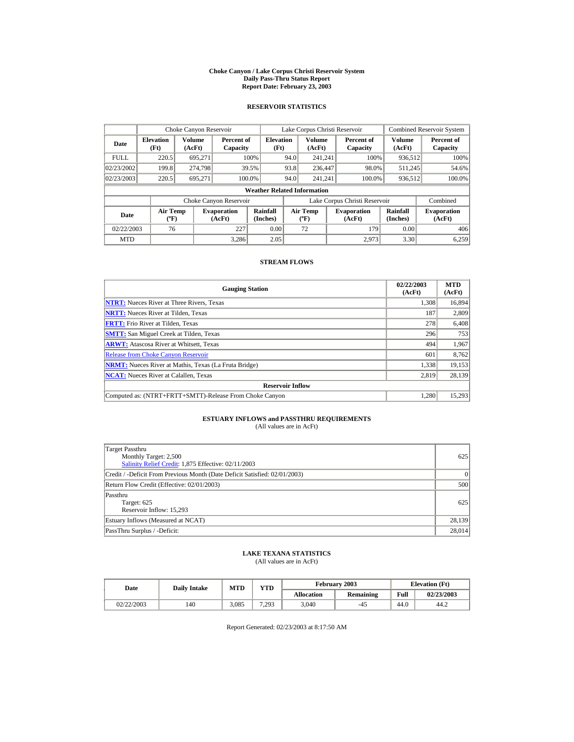#### **Choke Canyon / Lake Corpus Christi Reservoir System Daily Pass-Thru Status Report Report Date: February 23, 2003**

### **RESERVOIR STATISTICS**

|             | Choke Canyon Reservoir                      |                  |                              |                          | Lake Corpus Christi Reservoir             |                         |  |                               | <b>Combined Reservoir System</b> |                              |  |  |
|-------------|---------------------------------------------|------------------|------------------------------|--------------------------|-------------------------------------------|-------------------------|--|-------------------------------|----------------------------------|------------------------------|--|--|
| Date        | <b>Elevation</b><br>(Ft)                    | Volume<br>(AcFt) | Percent of<br>Capacity       | <b>Elevation</b><br>(Ft) |                                           | <b>Volume</b><br>(AcFt) |  | Percent of<br>Capacity        | <b>Volume</b><br>(AcFt)          | Percent of<br>Capacity       |  |  |
| <b>FULL</b> | 220.5                                       | 695,271          |                              | 100%                     | 94.0                                      | 241.241                 |  | 100%                          | 936,512                          | 100%                         |  |  |
| 02/23/2002  | 199.8                                       | 274.798          |                              | 39.5%                    | 93.8                                      | 236,447                 |  | 98.0%                         | 511.245                          | 54.6%                        |  |  |
| 02/23/2003  | 220.5                                       | 695.271          |                              | 100.0%                   | 94.0                                      | 241.241                 |  | 100.0%                        | 936,512                          | 100.0%                       |  |  |
|             | <b>Weather Related Information</b>          |                  |                              |                          |                                           |                         |  |                               |                                  |                              |  |  |
|             |                                             |                  | Choke Canyon Reservoir       |                          |                                           |                         |  | Lake Corpus Christi Reservoir |                                  | Combined                     |  |  |
| Date        | <b>Air Temp</b><br>$({}^{\circ}\mathrm{F})$ |                  | <b>Evaporation</b><br>(AcFt) | Rainfall<br>(Inches)     | <b>Air Temp</b><br>$({}^{\circ}\text{F})$ |                         |  | <b>Evaporation</b><br>(AcFt)  | Rainfall<br>(Inches)             | <b>Evaporation</b><br>(AcFt) |  |  |
| 02/22/2003  | 76                                          |                  | 227                          | 0.00                     |                                           | 72                      |  | 179                           | 0.00                             | 406                          |  |  |
| <b>MTD</b>  |                                             |                  | 3.286                        | 2.05                     |                                           |                         |  | 2.973                         | 3.30                             | 6,259                        |  |  |

#### **STREAM FLOWS**

| <b>Gauging Station</b>                                       | 02/22/2003<br>(AcFt) | <b>MTD</b><br>(AcFt) |
|--------------------------------------------------------------|----------------------|----------------------|
| <b>NTRT:</b> Nueces River at Three Rivers, Texas             | 1,308                | 16,894               |
| <b>NRTT:</b> Nueces River at Tilden, Texas                   | 187                  | 2,809                |
| <b>FRTT:</b> Frio River at Tilden, Texas                     | 278                  | 6,408                |
| <b>SMTT:</b> San Miguel Creek at Tilden, Texas               | 296                  | 753                  |
| <b>ARWT:</b> Atascosa River at Whitsett, Texas               | 494                  | 1,967                |
| <b>Release from Choke Canvon Reservoir</b>                   | 601                  | 8,762                |
| <b>NRMT:</b> Nueces River at Mathis, Texas (La Fruta Bridge) | 1.338                | 19,153               |
| <b>NCAT:</b> Nueces River at Calallen, Texas                 | 2.819                | 28,139               |
| <b>Reservoir Inflow</b>                                      |                      |                      |
| Computed as: (NTRT+FRTT+SMTT)-Release From Choke Canyon      | 1.280                | 15,293               |

# **ESTUARY INFLOWS and PASSTHRU REQUIREMENTS**<br>(All values are in AcFt)

| Target Passthru<br>Monthly Target: 2,500<br>Salinity Relief Credit: 1,875 Effective: 02/11/2003 | 625      |
|-------------------------------------------------------------------------------------------------|----------|
| Credit / -Deficit From Previous Month (Date Deficit Satisfied: 02/01/2003)                      | $\Omega$ |
| Return Flow Credit (Effective: 02/01/2003)                                                      | 500      |
| Passthru<br>Target: 625<br>Reservoir Inflow: 15,293                                             | 625      |
| Estuary Inflows (Measured at NCAT)                                                              | 28,139   |
| PassThru Surplus / -Deficit:                                                                    | 28,014   |

## **LAKE TEXANA STATISTICS**

(All values are in AcFt)

| Date       | <b>Daily Intake</b> | MTD   | VTD   |                   | February 2003    | <b>Elevation</b> (Ft) |            |
|------------|---------------------|-------|-------|-------------------|------------------|-----------------------|------------|
|            |                     |       |       | <b>Allocation</b> | <b>Remaining</b> | Full                  | 02/23/2003 |
| 02/22/2003 | 140                 | 3.085 | 7.293 | 3.040             | -42              | 44.0                  | 44.2       |

Report Generated: 02/23/2003 at 8:17:50 AM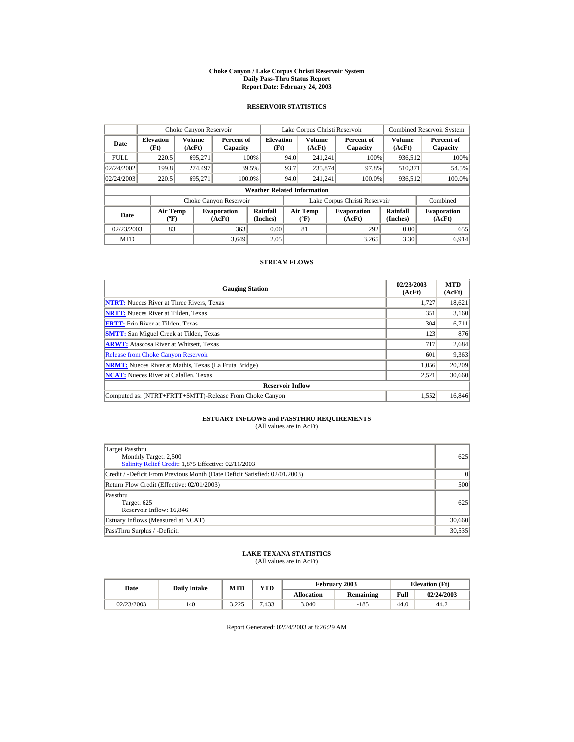#### **Choke Canyon / Lake Corpus Christi Reservoir System Daily Pass-Thru Status Report Report Date: February 24, 2003**

### **RESERVOIR STATISTICS**

|             | Choke Canyon Reservoir                      |                  |                              |                          | Lake Corpus Christi Reservoir |                                           |  |                               |                      | <b>Combined Reservoir System</b> |  |  |
|-------------|---------------------------------------------|------------------|------------------------------|--------------------------|-------------------------------|-------------------------------------------|--|-------------------------------|----------------------|----------------------------------|--|--|
| Date        | <b>Elevation</b><br>(Ft)                    | Volume<br>(AcFt) | Percent of<br>Capacity       | <b>Elevation</b><br>(Ft) |                               | Volume<br>(AcFt)                          |  | Percent of<br>Capacity        | Volume<br>(AcFt)     | Percent of<br>Capacity           |  |  |
| <b>FULL</b> | 220.5                                       | 695.271          |                              | 100%                     | 94.0                          | 241.241                                   |  | 100%                          | 936,512              | 100%                             |  |  |
| 02/24/2002  | 199.8                                       | 274,497          |                              | 39.5%                    | 93.7                          | 235,874                                   |  | 97.8%                         | 510.371              | 54.5%                            |  |  |
| 02/24/2003  | 220.5                                       | 695.271          |                              | 100.0%                   | 94.0                          | 241.241                                   |  | 100.0%                        | 936,512              | 100.0%                           |  |  |
|             | <b>Weather Related Information</b>          |                  |                              |                          |                               |                                           |  |                               |                      |                                  |  |  |
|             |                                             |                  | Choke Canyon Reservoir       |                          |                               |                                           |  | Lake Corpus Christi Reservoir |                      | Combined                         |  |  |
| Date        | <b>Air Temp</b><br>$({}^{\circ}\mathrm{F})$ |                  | <b>Evaporation</b><br>(AcFt) | Rainfall<br>(Inches)     |                               | <b>Air Temp</b><br>$({}^{\circ}\text{F})$ |  | <b>Evaporation</b><br>(AcFt)  | Rainfall<br>(Inches) | <b>Evaporation</b><br>(AcFt)     |  |  |
| 02/23/2003  | 83                                          |                  | 363                          | 0.00                     |                               | 81                                        |  | 292                           | 0.00                 | 655                              |  |  |
| <b>MTD</b>  |                                             |                  | 3.649                        | 2.05                     |                               |                                           |  | 3.265                         | 3.30                 | 6.914                            |  |  |

#### **STREAM FLOWS**

| <b>Gauging Station</b>                                       | 02/23/2003<br>(AcFt) | <b>MTD</b><br>(AcFt) |
|--------------------------------------------------------------|----------------------|----------------------|
| <b>NTRT:</b> Nueces River at Three Rivers, Texas             | 1,727                | 18,621               |
| <b>NRTT:</b> Nueces River at Tilden, Texas                   | 351                  | 3,160                |
| <b>FRTT:</b> Frio River at Tilden, Texas                     | 304                  | 6,711                |
| <b>SMTT:</b> San Miguel Creek at Tilden, Texas               | 123                  | 876                  |
| <b>ARWT:</b> Atascosa River at Whitsett, Texas               | 717                  | 2,684                |
| <b>Release from Choke Canyon Reservoir</b>                   | 601                  | 9,363                |
| <b>NRMT:</b> Nueces River at Mathis, Texas (La Fruta Bridge) | 1,056                | 20,209               |
| <b>NCAT:</b> Nueces River at Calallen, Texas                 | 2,521                | 30,660               |
| <b>Reservoir Inflow</b>                                      |                      |                      |
| Computed as: (NTRT+FRTT+SMTT)-Release From Choke Canyon      | 1.552                | 16,846               |

# **ESTUARY INFLOWS and PASSTHRU REQUIREMENTS**<br>(All values are in AcFt)

| Target Passthru<br>Monthly Target: 2,500<br>Salinity Relief Credit: 1,875 Effective: 02/11/2003 | 625      |
|-------------------------------------------------------------------------------------------------|----------|
| Credit / -Deficit From Previous Month (Date Deficit Satisfied: 02/01/2003)                      | $\Omega$ |
| Return Flow Credit (Effective: 02/01/2003)                                                      | 500      |
| Passthru<br>Target: 625<br>Reservoir Inflow: 16,846                                             | 625      |
| Estuary Inflows (Measured at NCAT)                                                              | 30,660   |
| PassThru Surplus / -Deficit:                                                                    | 30,535   |

## **LAKE TEXANA STATISTICS**

(All values are in AcFt)

| Date       | <b>Daily Intake</b> | <b>MTD</b>      | $\mathbf{v}\mathbf{T}\mathbf{D}$ |                   | February 2003 |      | <b>Elevation</b> (Ft) |
|------------|---------------------|-----------------|----------------------------------|-------------------|---------------|------|-----------------------|
|            |                     |                 |                                  | <b>Allocation</b> | Remaining     | Full | 02/24/2003            |
| 02/23/2003 | 140                 | 3.225<br>ن کے د | .433                             | 3,040             | $-185$        | 44.0 | 44.2                  |

Report Generated: 02/24/2003 at 8:26:29 AM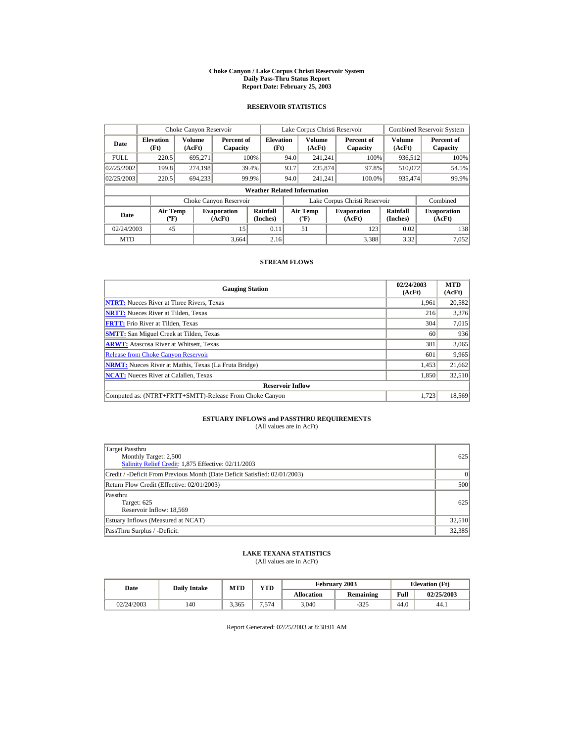#### **Choke Canyon / Lake Corpus Christi Reservoir System Daily Pass-Thru Status Report Report Date: February 25, 2003**

### **RESERVOIR STATISTICS**

| Choke Canyon Reservoir |                                             |                  |                              |                          |      | Lake Corpus Christi Reservoir             |  |                               |                      | <b>Combined Reservoir System</b> |  |  |  |
|------------------------|---------------------------------------------|------------------|------------------------------|--------------------------|------|-------------------------------------------|--|-------------------------------|----------------------|----------------------------------|--|--|--|
| Date                   | <b>Elevation</b><br>(Ft)                    | Volume<br>(AcFt) | Percent of<br>Capacity       | <b>Elevation</b><br>(Ft) |      | Volume<br>(AcFt)                          |  | Percent of<br>Capacity        | Volume<br>(AcFt)     | Percent of<br>Capacity           |  |  |  |
| <b>FULL</b>            | 220.5                                       | 695.271          |                              | 100%                     | 94.0 | 241.241                                   |  | 100%                          | 936,512              | 100%                             |  |  |  |
| 02/25/2002             | 199.8                                       | 274,198          |                              | 39.4%                    | 93.7 | 235,874                                   |  | 97.8%                         | 510,072              | 54.5%                            |  |  |  |
| 02/25/2003             | 220.5                                       | 694,233          |                              | 99.9%                    | 94.0 | 241.241                                   |  | 100.0%                        | 935,474              | 99.9%                            |  |  |  |
|                        | <b>Weather Related Information</b>          |                  |                              |                          |      |                                           |  |                               |                      |                                  |  |  |  |
|                        |                                             |                  | Choke Canyon Reservoir       |                          |      |                                           |  | Lake Corpus Christi Reservoir |                      | Combined                         |  |  |  |
| Date                   | <b>Air Temp</b><br>$({}^{\circ}\mathrm{F})$ |                  | <b>Evaporation</b><br>(AcFt) | Rainfall<br>(Inches)     |      | <b>Air Temp</b><br>$(^{\circ}\mathrm{F})$ |  | <b>Evaporation</b><br>(AcFt)  | Rainfall<br>(Inches) | <b>Evaporation</b><br>(AcFt)     |  |  |  |
| 02/24/2003             | 45                                          |                  | 15                           | 0.11                     |      | 51                                        |  | 123                           | 0.02                 | 138                              |  |  |  |
| <b>MTD</b>             |                                             |                  | 3.664                        | 2.16                     |      |                                           |  | 3.388                         | 3.32                 | 7.052                            |  |  |  |

#### **STREAM FLOWS**

| <b>Gauging Station</b>                                       | 02/24/2003<br>(AcFt) | <b>MTD</b><br>(AcFt) |
|--------------------------------------------------------------|----------------------|----------------------|
| <b>NTRT:</b> Nueces River at Three Rivers, Texas             | 1,961                | 20,582               |
| <b>NRTT:</b> Nueces River at Tilden, Texas                   | 216                  | 3,376                |
| <b>FRTT:</b> Frio River at Tilden, Texas                     | 304                  | 7,015                |
| <b>SMTT:</b> San Miguel Creek at Tilden, Texas               | 60                   | 936                  |
| <b>ARWT:</b> Atascosa River at Whitsett, Texas               | 381                  | 3,065                |
| <b>Release from Choke Canyon Reservoir</b>                   | 601                  | 9,965                |
| <b>NRMT:</b> Nueces River at Mathis, Texas (La Fruta Bridge) | 1,453                | 21,662               |
| <b>NCAT:</b> Nueces River at Calallen, Texas                 | 1,850                | 32,510               |
| <b>Reservoir Inflow</b>                                      |                      |                      |
| Computed as: (NTRT+FRTT+SMTT)-Release From Choke Canyon      | 1.723                | 18,569               |

# **ESTUARY INFLOWS and PASSTHRU REQUIREMENTS**<br>(All values are in AcFt)

| Target Passthru<br>Monthly Target: 2,500<br>Salinity Relief Credit: 1,875 Effective: 02/11/2003 | 625      |
|-------------------------------------------------------------------------------------------------|----------|
| Credit / -Deficit From Previous Month (Date Deficit Satisfied: 02/01/2003)                      | $\Omega$ |
| Return Flow Credit (Effective: 02/01/2003)                                                      | 500      |
| Passthru<br>Target: 625<br>Reservoir Inflow: 18,569                                             | 625      |
| Estuary Inflows (Measured at NCAT)                                                              | 32,510   |
| PassThru Surplus / -Deficit:                                                                    | 32,385   |

## **LAKE TEXANA STATISTICS**

(All values are in AcFt)

| Date       |     | $\mathbf{v}\mathbf{T}\mathbf{D}$<br><b>MTD</b><br><b>Daily Intake</b> |      |                   | February 2003 | <b>Elevation</b> (Ft) |            |
|------------|-----|-----------------------------------------------------------------------|------|-------------------|---------------|-----------------------|------------|
|            |     |                                                                       |      | <b>Allocation</b> | Remaining     | Full                  | 02/25/2003 |
| 02/24/2003 | 140 | 3.365                                                                 | .574 | 3,040             | $-325$        | 44.0                  | 44.1       |

Report Generated: 02/25/2003 at 8:38:01 AM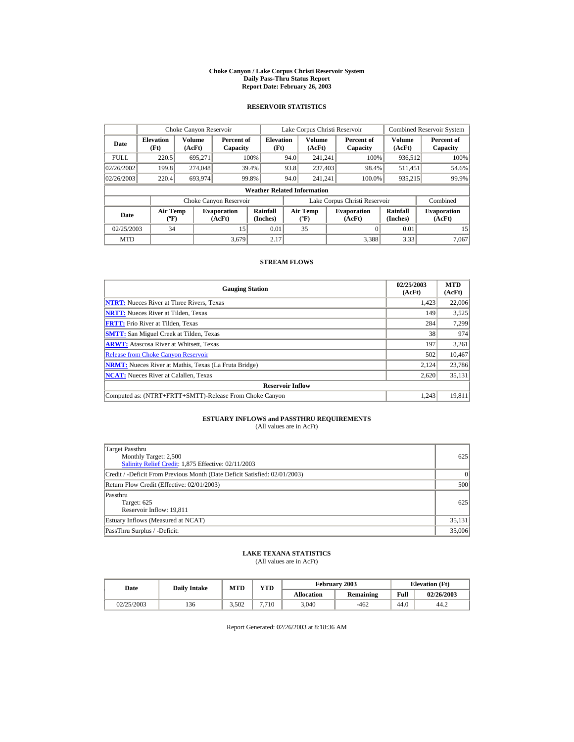#### **Choke Canyon / Lake Corpus Christi Reservoir System Daily Pass-Thru Status Report Report Date: February 26, 2003**

### **RESERVOIR STATISTICS**

|             | Choke Canyon Reservoir                      |                  |                              |                          |      | Lake Corpus Christi Reservoir             |  |                                                      | <b>Combined Reservoir System</b> |                              |  |  |  |
|-------------|---------------------------------------------|------------------|------------------------------|--------------------------|------|-------------------------------------------|--|------------------------------------------------------|----------------------------------|------------------------------|--|--|--|
| Date        | <b>Elevation</b><br>(Ft)                    | Volume<br>(AcFt) | Percent of<br>Capacity       | <b>Elevation</b><br>(Ft) |      | <b>Volume</b><br>(AcFt)                   |  | Percent of<br>Capacity                               | Volume<br>(AcFt)                 | Percent of<br>Capacity       |  |  |  |
| <b>FULL</b> | 220.5                                       | 695,271          |                              | 100%                     | 94.0 | 241.241                                   |  | 100%                                                 | 936,512                          | 100%                         |  |  |  |
| 02/26/2002  | 199.8                                       | 274,048          |                              | 39.4%                    | 93.8 | 237,403                                   |  | 98.4%                                                | 511,451                          | 54.6%                        |  |  |  |
| 02/26/2003  | 220.4                                       | 693,974          |                              | 99.8%                    | 94.0 | 241.241                                   |  | 100.0%                                               | 935,215                          | 99.9%                        |  |  |  |
|             | <b>Weather Related Information</b>          |                  |                              |                          |      |                                           |  |                                                      |                                  |                              |  |  |  |
|             |                                             |                  | Choke Canyon Reservoir       |                          |      |                                           |  | Lake Corpus Christi Reservoir                        |                                  | Combined                     |  |  |  |
| Date        | <b>Air Temp</b><br>$({}^{\circ}\mathrm{F})$ |                  | <b>Evaporation</b><br>(AcFt) | Rainfall<br>(Inches)     |      | <b>Air Temp</b><br>$(^{\circ}\mathrm{F})$ |  | Rainfall<br><b>Evaporation</b><br>(Inches)<br>(AcFt) |                                  | <b>Evaporation</b><br>(AcFt) |  |  |  |
| 02/25/2003  | 34                                          |                  | 15                           | 0.01                     |      | 35                                        |  |                                                      | 0.01                             | 15                           |  |  |  |
| <b>MTD</b>  |                                             |                  | 3.679                        | 2.17                     |      |                                           |  | 3,388                                                | 3.33                             | 7.067                        |  |  |  |

#### **STREAM FLOWS**

| <b>Gauging Station</b>                                       | 02/25/2003<br>(AcFt) | <b>MTD</b><br>(AcFt) |
|--------------------------------------------------------------|----------------------|----------------------|
| <b>NTRT:</b> Nueces River at Three Rivers, Texas             | 1,423                | 22,006               |
| <b>NRTT:</b> Nueces River at Tilden, Texas                   | 149                  | 3,525                |
| <b>FRTT:</b> Frio River at Tilden, Texas                     | 284                  | 7,299                |
| <b>SMTT:</b> San Miguel Creek at Tilden, Texas               | 38                   | 974                  |
| <b>ARWT:</b> Atascosa River at Whitsett, Texas               | 197                  | 3,261                |
| <b>Release from Choke Canyon Reservoir</b>                   | 502                  | 10,467               |
| <b>NRMT:</b> Nueces River at Mathis, Texas (La Fruta Bridge) | 2.124                | 23.786               |
| <b>NCAT:</b> Nueces River at Calallen, Texas                 | 2,620                | 35,131               |
| <b>Reservoir Inflow</b>                                      |                      |                      |
| Computed as: (NTRT+FRTT+SMTT)-Release From Choke Canyon      | 1.243                | 19,811               |

# **ESTUARY INFLOWS and PASSTHRU REQUIREMENTS**<br>(All values are in AcFt)

| Target Passthru<br>Monthly Target: 2,500<br>Salinity Relief Credit: 1,875 Effective: 02/11/2003 | 625      |
|-------------------------------------------------------------------------------------------------|----------|
| Credit / -Deficit From Previous Month (Date Deficit Satisfied: 02/01/2003)                      | $\Omega$ |
| Return Flow Credit (Effective: 02/01/2003)                                                      | 500      |
| Passthru<br>Target: 625<br>Reservoir Inflow: 19,811                                             | 625      |
| Estuary Inflows (Measured at NCAT)                                                              | 35,131   |
| PassThru Surplus / -Deficit:                                                                    | 35,006   |

## **LAKE TEXANA STATISTICS**

(All values are in AcFt)

| Date       | <b>Daily Intake</b> | MTD   | VTD   |                   | February 2003    |      | <b>Elevation</b> (Ft) |
|------------|---------------------|-------|-------|-------------------|------------------|------|-----------------------|
|            |                     |       |       | <b>Allocation</b> | <b>Remaining</b> | Full | 02/26/2003            |
| 02/25/2003 | 136                 | 3.502 | 7.710 | 3.040             | -462             | 44.0 | 44.2                  |

Report Generated: 02/26/2003 at 8:18:36 AM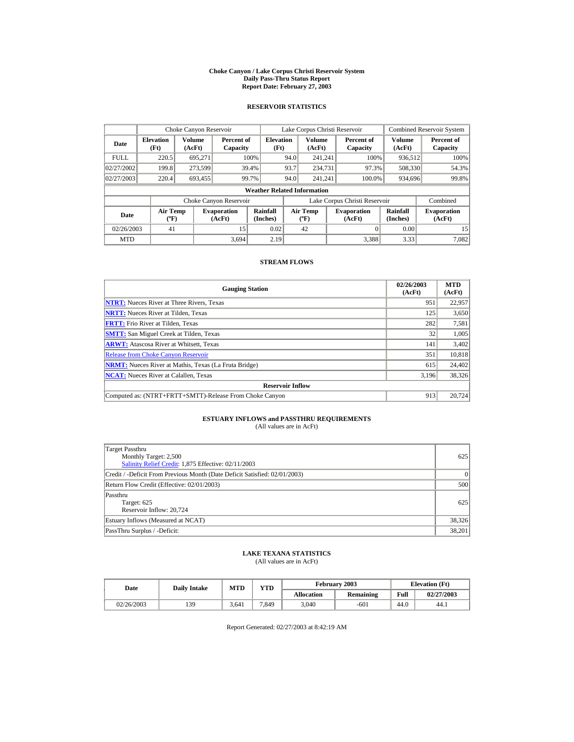#### **Choke Canyon / Lake Corpus Christi Reservoir System Daily Pass-Thru Status Report Report Date: February 27, 2003**

### **RESERVOIR STATISTICS**

|             | Choke Canyon Reservoir                      |                  |                              |                          |      | Lake Corpus Christi Reservoir            |  |                               |                      | <b>Combined Reservoir System</b> |  |  |  |
|-------------|---------------------------------------------|------------------|------------------------------|--------------------------|------|------------------------------------------|--|-------------------------------|----------------------|----------------------------------|--|--|--|
| Date        | <b>Elevation</b><br>(Ft)                    | Volume<br>(AcFt) | Percent of<br>Capacity       | <b>Elevation</b><br>(Ft) |      | <b>Volume</b><br>(AcFt)                  |  | Percent of<br>Capacity        | Volume<br>(AcFt)     | Percent of<br>Capacity           |  |  |  |
| <b>FULL</b> | 220.5                                       | 695.271          |                              | 100%                     | 94.0 | 241.241                                  |  | 100%                          | 936,512              | 100%                             |  |  |  |
| 02/27/2002  | 199.8                                       | 273,599          |                              | 39.4%                    | 93.7 | 234,731                                  |  | 97.3%                         | 508,330              | 54.3%                            |  |  |  |
| 02/27/2003  | 220.4                                       | 693,455          |                              | 99.7%                    | 94.0 | 241.241                                  |  | 100.0%                        | 934,696              | 99.8%                            |  |  |  |
|             | <b>Weather Related Information</b>          |                  |                              |                          |      |                                          |  |                               |                      |                                  |  |  |  |
|             |                                             |                  | Choke Canyon Reservoir       |                          |      |                                          |  | Lake Corpus Christi Reservoir |                      | Combined                         |  |  |  |
| Date        | <b>Air Temp</b><br>$({}^{\circ}\mathrm{F})$ |                  | <b>Evaporation</b><br>(AcFt) | Rainfall<br>(Inches)     |      | <b>Air Temp</b><br>$({}^{\circ}{\rm F})$ |  | <b>Evaporation</b><br>(AcFt)  | Rainfall<br>(Inches) | <b>Evaporation</b><br>(AcFt)     |  |  |  |
| 02/26/2003  | 41                                          |                  | 15                           | 0.02                     |      | 42                                       |  |                               | 0.00                 | 15                               |  |  |  |
| <b>MTD</b>  |                                             |                  | 3.694                        | 2.19                     |      |                                          |  | 3.388                         | 3.33                 | 7.082                            |  |  |  |

#### **STREAM FLOWS**

| <b>Gauging Station</b>                                       | 02/26/2003<br>(AcFt) | <b>MTD</b><br>(AcFt) |
|--------------------------------------------------------------|----------------------|----------------------|
| <b>NTRT:</b> Nueces River at Three Rivers, Texas             | 951                  | 22,957               |
| <b>NRTT:</b> Nueces River at Tilden, Texas                   | 125                  | 3,650                |
| <b>FRTT:</b> Frio River at Tilden, Texas                     | 282                  | 7,581                |
| <b>SMTT:</b> San Miguel Creek at Tilden, Texas               | 32                   | 1,005                |
| <b>ARWT:</b> Atascosa River at Whitsett, Texas               | 141                  | 3,402                |
| <b>Release from Choke Canyon Reservoir</b>                   | 351                  | 10,818               |
| <b>NRMT:</b> Nueces River at Mathis, Texas (La Fruta Bridge) | 615                  | 24,402               |
| <b>NCAT:</b> Nueces River at Calallen, Texas                 | 3,196                | 38,326               |
| <b>Reservoir Inflow</b>                                      |                      |                      |
| Computed as: (NTRT+FRTT+SMTT)-Release From Choke Canyon      | 913                  | 20.724               |

# **ESTUARY INFLOWS and PASSTHRU REQUIREMENTS**<br>(All values are in AcFt)

| Target Passthru<br>Monthly Target: 2,500<br>Salinity Relief Credit: 1,875 Effective: 02/11/2003 | 625      |
|-------------------------------------------------------------------------------------------------|----------|
| Credit / -Deficit From Previous Month (Date Deficit Satisfied: 02/01/2003)                      | $\Omega$ |
| Return Flow Credit (Effective: 02/01/2003)                                                      | 500      |
| Passthru<br>Target: 625<br>Reservoir Inflow: 20,724                                             | 625      |
| Estuary Inflows (Measured at NCAT)                                                              | 38,326   |
| PassThru Surplus / -Deficit:                                                                    | 38,201   |

## **LAKE TEXANA STATISTICS**

(All values are in AcFt)

| Date |            |     | <b>MTD</b><br><b>Daily Intake</b> |                                  |                   | February 2003 | <b>Elevation</b> (Ft) |            |  |
|------|------------|-----|-----------------------------------|----------------------------------|-------------------|---------------|-----------------------|------------|--|
|      |            |     |                                   | $\mathbf{v}\mathbf{T}\mathbf{D}$ | <b>Allocation</b> | Remaining     | Full                  | 02/27/2003 |  |
|      | 02/26/2003 | 139 | 3.641                             | 7.849                            | 3,040             | -601          | 44.0                  | 44.1       |  |

Report Generated: 02/27/2003 at 8:42:19 AM